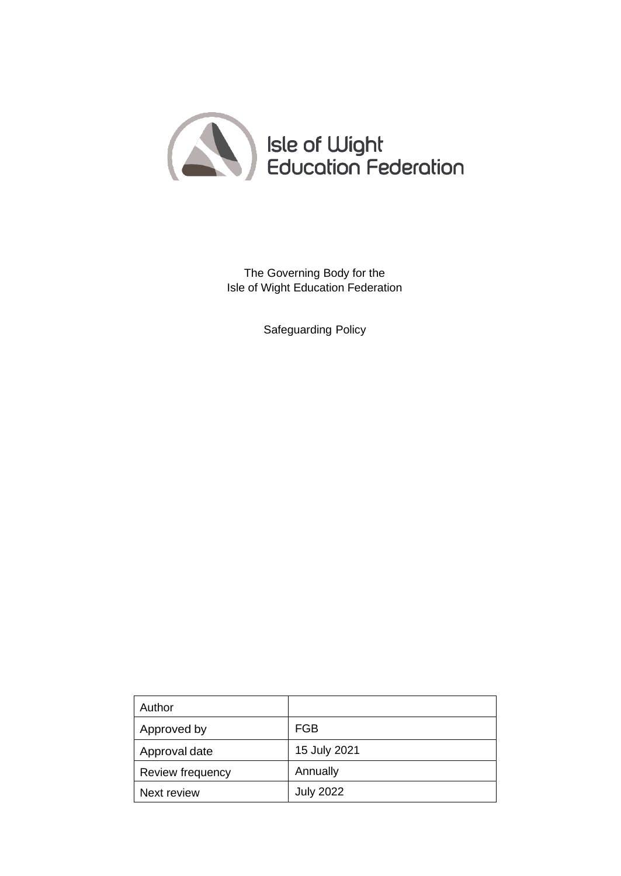

The Governing Body for the Isle of Wight Education Federation

Safeguarding Policy

| Author           |                  |
|------------------|------------------|
| Approved by      | FGB              |
| Approval date    | 15 July 2021     |
| Review frequency | Annually         |
| Next review      | <b>July 2022</b> |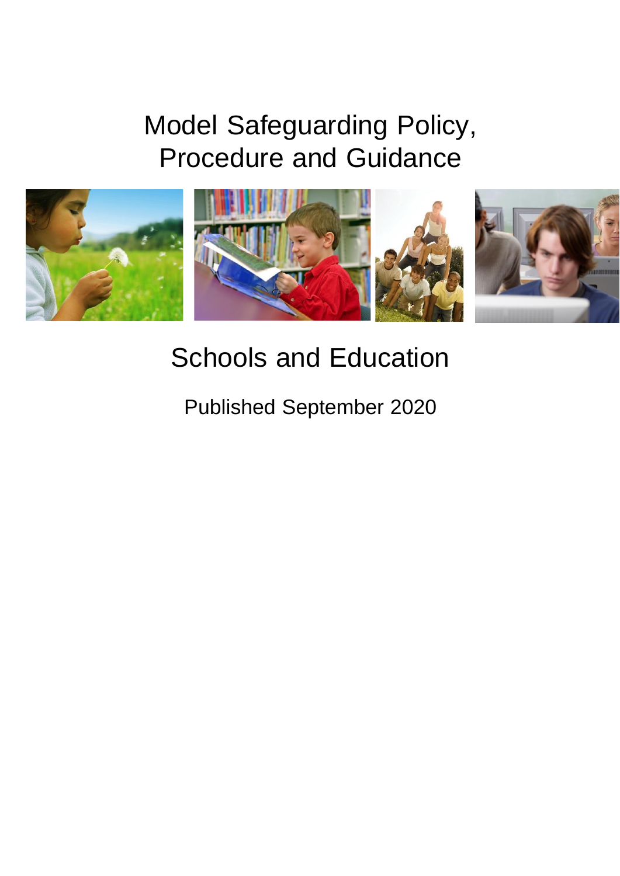# Model Safeguarding Policy, Procedure and Guidance



# Schools and Education

Published September 2020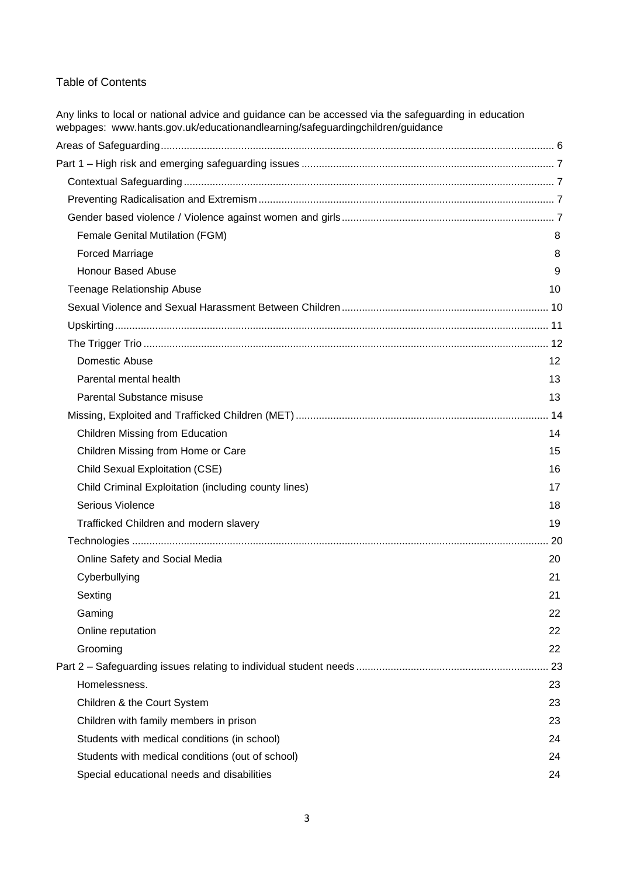#### Table of Contents

Any links to local or national advice and guidance can be accessed via the safeguarding in education webpages: [www.hants.gov.uk/educationandlearning/safeguardingchildren/guidance](http://www.hants.gov.uk/educationandlearning/safeguardingchildren/guidance)

| <b>Female Genital Mutilation (FGM)</b>               | 8  |
|------------------------------------------------------|----|
| <b>Forced Marriage</b>                               | 8  |
| <b>Honour Based Abuse</b>                            | 9  |
| <b>Teenage Relationship Abuse</b>                    | 10 |
|                                                      |    |
|                                                      |    |
|                                                      |    |
| Domestic Abuse                                       | 12 |
| Parental mental health                               | 13 |
| <b>Parental Substance misuse</b>                     | 13 |
|                                                      |    |
| Children Missing from Education                      | 14 |
| Children Missing from Home or Care                   | 15 |
| <b>Child Sexual Exploitation (CSE)</b>               | 16 |
| Child Criminal Exploitation (including county lines) | 17 |
| Serious Violence                                     | 18 |
| Trafficked Children and modern slavery               | 19 |
|                                                      |    |
| Online Safety and Social Media                       | 20 |
| Cyberbullying                                        | 21 |
| Sexting                                              | 21 |
| Gaming                                               | 22 |
| Online reputation                                    | 22 |
| Grooming                                             | 22 |
|                                                      | 23 |
| Homelessness.                                        | 23 |
| Children & the Court System                          | 23 |
| Children with family members in prison               | 23 |
| Students with medical conditions (in school)         | 24 |
| Students with medical conditions (out of school)     | 24 |
| Special educational needs and disabilities           | 24 |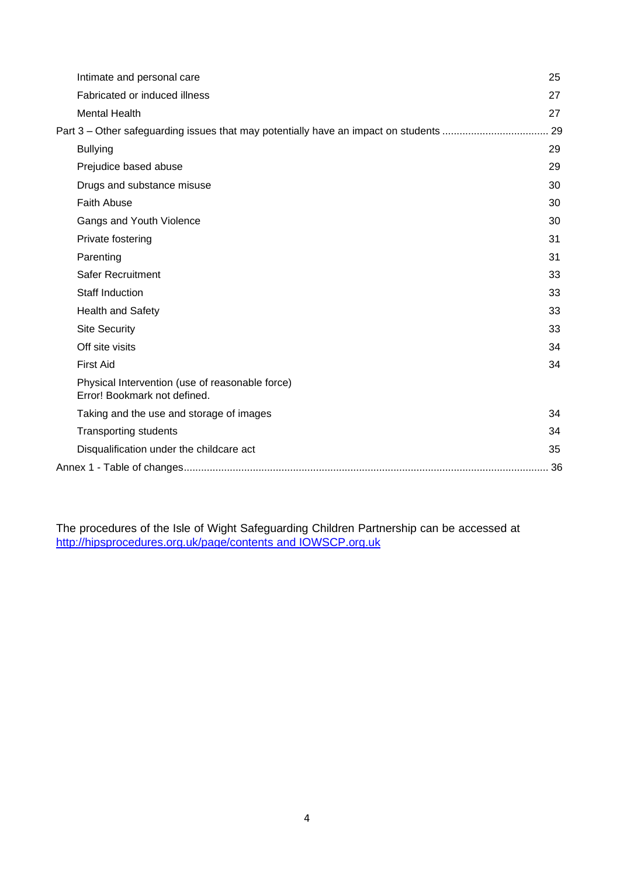| Intimate and personal care                                                             | 25 |
|----------------------------------------------------------------------------------------|----|
| Fabricated or induced illness                                                          | 27 |
| <b>Mental Health</b>                                                                   | 27 |
| Part 3 – Other safeguarding issues that may potentially have an impact on students  29 |    |
| <b>Bullying</b>                                                                        | 29 |
| Prejudice based abuse                                                                  | 29 |
| Drugs and substance misuse                                                             | 30 |
| <b>Faith Abuse</b>                                                                     | 30 |
| Gangs and Youth Violence                                                               | 30 |
| Private fostering                                                                      | 31 |
| Parenting                                                                              | 31 |
| Safer Recruitment                                                                      | 33 |
| <b>Staff Induction</b>                                                                 | 33 |
| <b>Health and Safety</b>                                                               | 33 |
| <b>Site Security</b>                                                                   | 33 |
| Off site visits                                                                        | 34 |
| <b>First Aid</b>                                                                       | 34 |
| Physical Intervention (use of reasonable force)<br>Error! Bookmark not defined.        |    |
| Taking and the use and storage of images                                               | 34 |
| <b>Transporting students</b>                                                           | 34 |
| Disqualification under the childcare act                                               | 35 |
|                                                                                        | 36 |

The procedures of the Isle of Wight Safeguarding Children Partnership can be accessed at <http://hipsprocedures.org.uk/page/contents> and IOWSCP.org.uk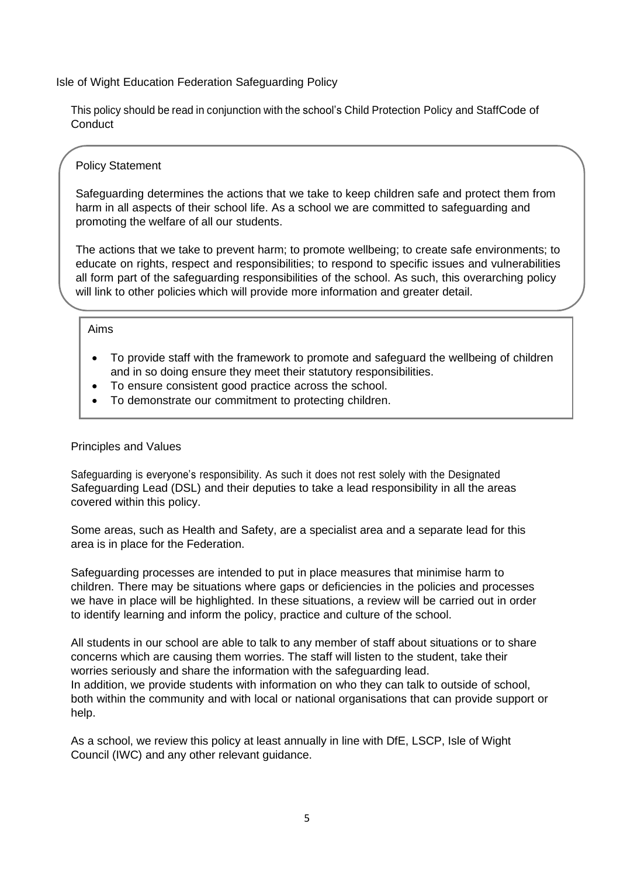Isle of Wight Education Federation Safeguarding Policy

This policy should be read in conjunction with the school's Child Protection Policy and StaffCode of **Conduct** 

#### Policy Statement

Safeguarding determines the actions that we take to keep children safe and protect them from harm in all aspects of their school life. As a school we are committed to safeguarding and promoting the welfare of all our students.

The actions that we take to prevent harm; to promote wellbeing; to create safe environments; to educate on rights, respect and responsibilities; to respond to specific issues and vulnerabilities all form part of the safeguarding responsibilities of the school. As such, this overarching policy will link to other policies which will provide more information and greater detail.

#### Aims

- To provide staff with the framework to promote and safeguard the wellbeing of children and in so doing ensure they meet their statutory responsibilities.
- To ensure consistent good practice across the school.
- To demonstrate our commitment to protecting children.

#### Principles and Values

Safeguarding is everyone's responsibility. As such it does not rest solely with the Designated Safeguarding Lead (DSL) and their deputies to take a lead responsibility in all the areas covered within this policy.

Some areas, such as Health and Safety, are a specialist area and a separate lead for this area is in place for the Federation.

Safeguarding processes are intended to put in place measures that minimise harm to children. There may be situations where gaps or deficiencies in the policies and processes we have in place will be highlighted. In these situations, a review will be carried out in order to identify learning and inform the policy, practice and culture of the school.

All students in our school are able to talk to any member of staff about situations or to share concerns which are causing them worries. The staff will listen to the student, take their worries seriously and share the information with the safeguarding lead. In addition, we provide students with information on who they can talk to outside of school, both within the community and with local or national organisations that can provide support or help.

As a school, we review this policy at least annually in line with DfE, LSCP, Isle of Wight Council (IWC) and any other relevant guidance.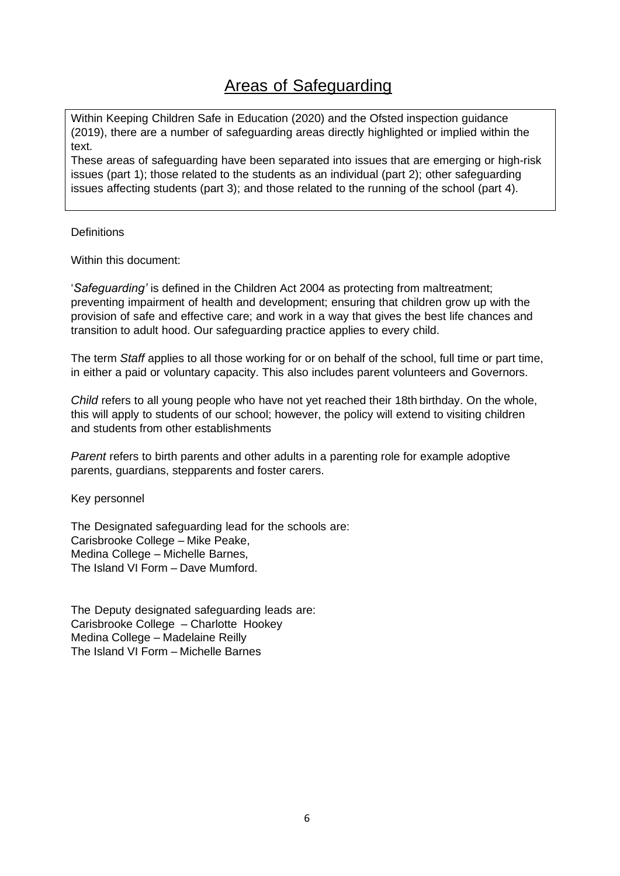# Areas of Safeguarding

<span id="page-5-0"></span>Within Keeping Children Safe in Education (2020) and the Ofsted inspection guidance (2019), there are a number of safeguarding areas directly highlighted or implied within the text.

These areas of safeguarding have been separated into issues that are emerging or high-risk issues (part 1); those related to the students as an individual (part 2); other safeguarding issues affecting students (part 3); and those related to the running of the school (part 4).

#### **Definitions**

Within this document:

'*Safeguarding'* is defined in the Children Act 2004 as protecting from maltreatment; preventing impairment of health and development; ensuring that children grow up with the provision of safe and effective care; and work in a way that gives the best life chances and transition to adult hood. Our safeguarding practice applies to every child.

The term *Staff* applies to all those working for or on behalf of the school, full time or part time, in either a paid or voluntary capacity. This also includes parent volunteers and Governors.

*Child* refers to all young people who have not yet reached their 18th birthday. On the whole, this will apply to students of our school; however, the policy will extend to visiting children and students from other establishments

*Parent* refers to birth parents and other adults in a parenting role for example adoptive parents, guardians, stepparents and foster carers.

Key personnel

The Designated safeguarding lead for the schools are: Carisbrooke College – Mike Peake, Medina College – Michelle Barnes, The Island VI Form – Dave Mumford.

The Deputy designated safeguarding leads are: Carisbrooke College – Charlotte Hookey Medina College – Madelaine Reilly The Island VI Form – Michelle Barnes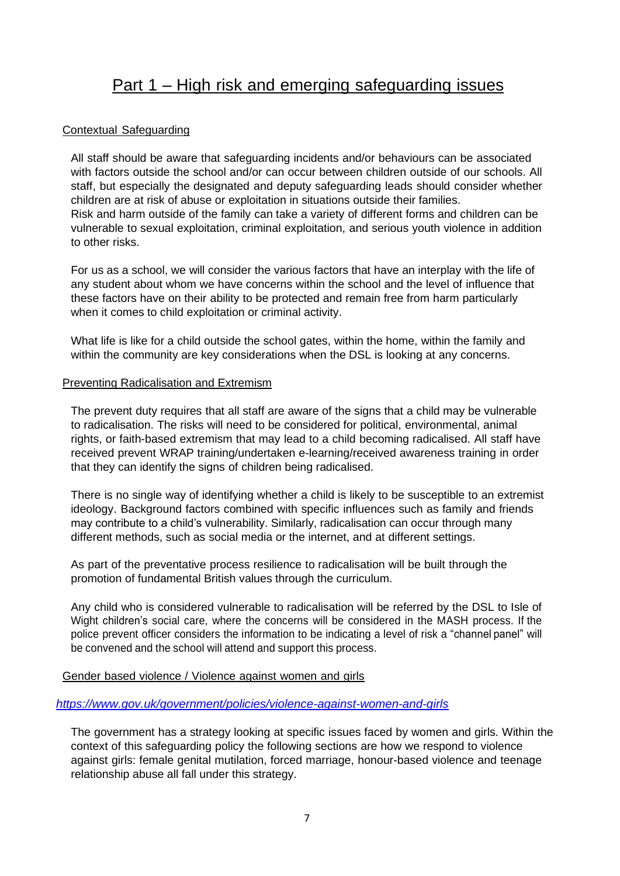### Part 1 – High risk and emerging safeguarding issues

#### <span id="page-6-1"></span><span id="page-6-0"></span>Contextual Safeguarding

All staff should be aware that safeguarding incidents and/or behaviours can be associated with factors outside the school and/or can occur between children outside of our schools. All staff, but especially the designated and deputy safeguarding leads should consider whether children are at risk of abuse or exploitation in situations outside their families. Risk and harm outside of the family can take a variety of different forms and children can be vulnerable to sexual exploitation, criminal exploitation, and serious youth violence in addition to other risks.

For us as a school, we will consider the various factors that have an interplay with the life of any student about whom we have concerns within the school and the level of influence that these factors have on their ability to be protected and remain free from harm particularly when it comes to child exploitation or criminal activity.

What life is like for a child outside the school gates, within the home, within the family and within the community are key considerations when the DSL is looking at any concerns.

#### <span id="page-6-2"></span>Preventing Radicalisation and Extremism

The prevent duty requires that all staff are aware of the signs that a child may be vulnerable to radicalisation. The risks will need to be considered for political, environmental, animal rights, or faith-based extremism that may lead to a child becoming radicalised. All staff have received prevent WRAP training/undertaken e-learning/received awareness training in order that they can identify the signs of children being radicalised.

There is no single way of identifying whether a child is likely to be susceptible to an extremist ideology. Background factors combined with specific influences such as family and friends may contribute to a child's vulnerability. Similarly, radicalisation can occur through many different methods, such as social media or the internet, and at different settings.

As part of the preventative process resilience to radicalisation will be built through the promotion of fundamental British values through the curriculum.

Any child who is considered vulnerable to radicalisation will be referred by the DSL to Isle of Wight children's social care, where the concerns will be considered in the MASH process. If the police prevent officer considers the information to be indicating a level of risk a "channel panel" will be convened and the school will attend and support this process.

<span id="page-6-3"></span>Gender based violence / Violence against women and girls

*<https://www.gov.uk/government/policies/violence-against-women-and-girls>*

The government has a strategy looking at specific issues faced by women and girls. Within the context of this safeguarding policy the following sections are how we respond to violence against girls: female genital mutilation, forced marriage, honour-based violence and teenage relationship abuse all fall under this strategy.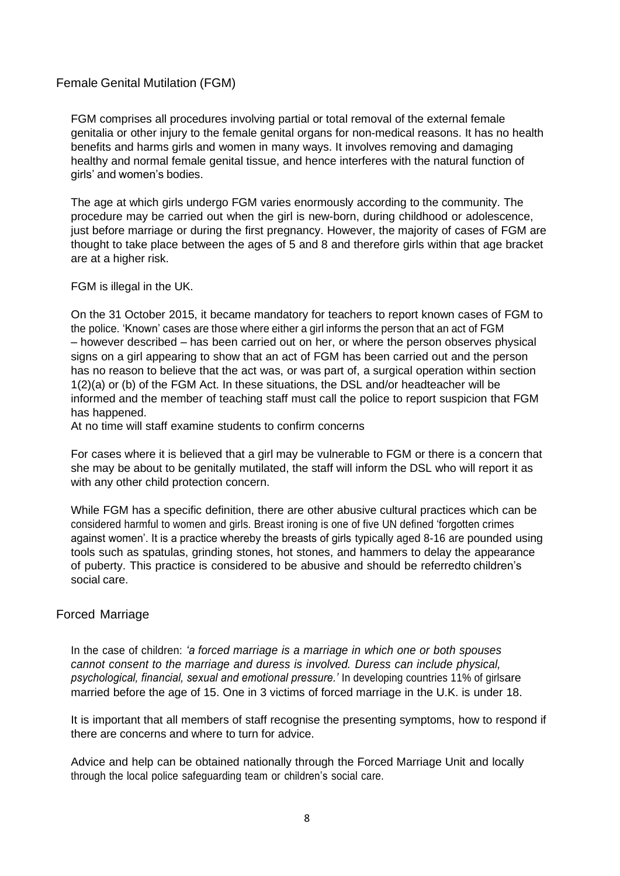#### <span id="page-7-0"></span>Female Genital Mutilation (FGM)

FGM comprises all procedures involving partial or total removal of the external female genitalia or other injury to the female genital organs for non-medical reasons. It has no health benefits and harms girls and women in many ways. It involves removing and damaging healthy and normal female genital tissue, and hence interferes with the natural function of girls' and women's bodies.

The age at which girls undergo FGM varies enormously according to the community. The procedure may be carried out when the girl is new-born, during childhood or adolescence, just before marriage or during the first pregnancy. However, the majority of cases of FGM are thought to take place between the ages of 5 and 8 and therefore girls within that age bracket are at a higher risk.

FGM is illegal in the UK.

On the 31 October 2015, it became mandatory for teachers to report known cases of FGM to the police. 'Known' cases are those where either a girl informs the person that an act of FGM – however described – has been carried out on her, or where the person observes physical signs on a girl appearing to show that an act of FGM has been carried out and the person has no reason to believe that the act was, or was part of, a surgical operation within section 1(2)(a) or (b) of the FGM Act. In these situations, the DSL and/or headteacher will be informed and the member of teaching staff must call the police to report suspicion that FGM has happened.

At no time will staff examine students to confirm concerns

For cases where it is believed that a girl may be vulnerable to FGM or there is a concern that she may be about to be genitally mutilated, the staff will inform the DSL who will report it as with any other child protection concern.

While FGM has a specific definition, there are other abusive cultural practices which can be considered harmful to women and girls. Breast ironing is one of five UN defined 'forgotten crimes against women'. It is a practice whereby the breasts of girls typically aged 8-16 are pounded using tools such as spatulas, grinding stones, hot stones, and hammers to delay the appearance of puberty. This practice is considered to be abusive and should be referredto children's social care.

#### <span id="page-7-1"></span>Forced Marriage

In the case of children: *'a forced marriage is a marriage in which one or both spouses cannot consent to the marriage and duress is involved. Duress can include physical, psychological, financial, sexual and emotional pressure.'* In developing countries 11% of girlsare married before the age of 15. One in 3 victims of forced marriage in the U.K. is under 18.

It is important that all members of staff recognise the presenting symptoms, how to respond if there are concerns and where to turn for advice.

Advice and help can be obtained nationally through the Forced Marriage Unit and locally through the local police safeguarding team or children's social care.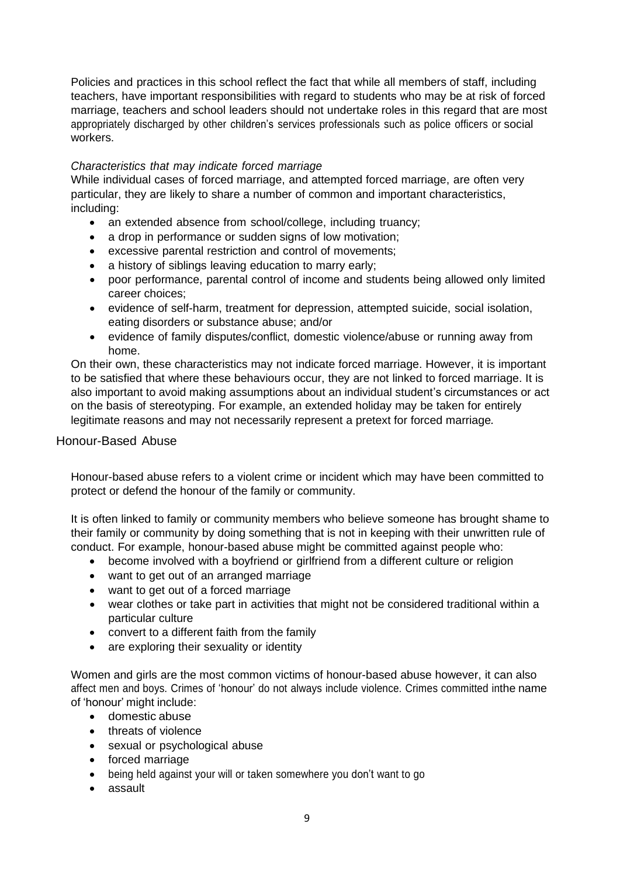Policies and practices in this school reflect the fact that while all members of staff, including teachers, have important responsibilities with regard to students who may be at risk of forced marriage, teachers and school leaders should not undertake roles in this regard that are most appropriately discharged by other children's services professionals such as police officers or social workers.

#### *Characteristics that may indicate forced marriage*

While individual cases of forced marriage, and attempted forced marriage, are often very particular, they are likely to share a number of common and important characteristics, including:

- an extended absence from school/college, including truancy;
- a drop in performance or sudden signs of low motivation;
- excessive parental restriction and control of movements;
- a history of siblings leaving education to marry early;
- poor performance, parental control of income and students being allowed only limited career choices;
- evidence of self-harm, treatment for depression, attempted suicide, social isolation, eating disorders or substance abuse; and/or
- evidence of family disputes/conflict, domestic violence/abuse or running away from home.

On their own, these characteristics may not indicate forced marriage. However, it is important to be satisfied that where these behaviours occur, they are not linked to forced marriage. It is also important to avoid making assumptions about an individual student's circumstances or act on the basis of stereotyping. For example, an extended holiday may be taken for entirely legitimate reasons and may not necessarily represent a pretext for forced marriage*.*

#### <span id="page-8-0"></span>Honour-Based Abuse

Honour-based abuse refers to a violent crime or incident which may have been committed to protect or defend the honour of the family or community.

It is often linked to family or community members who believe someone has brought shame to their family or community by doing something that is not in keeping with their unwritten rule of conduct. For example, honour-based abuse might be committed against people who:

- become involved with a boyfriend or girlfriend from a different culture or religion
- want to get out of an arranged marriage
- want to get out of a forced marriage
- wear clothes or take part in activities that might not be considered traditional within a particular culture
- convert to a different faith from the family
- are exploring their sexuality or identity

Women and girls are the most common victims of honour-based abuse however, it can also affect men and boys. Crimes of 'honour' do not always include violence. Crimes committed inthe name of 'honour' might include:

- domestic abuse
- threats of violence
- sexual or psychological abuse
- forced marriage
- being held against your will or taken somewhere you don't want to go
- assault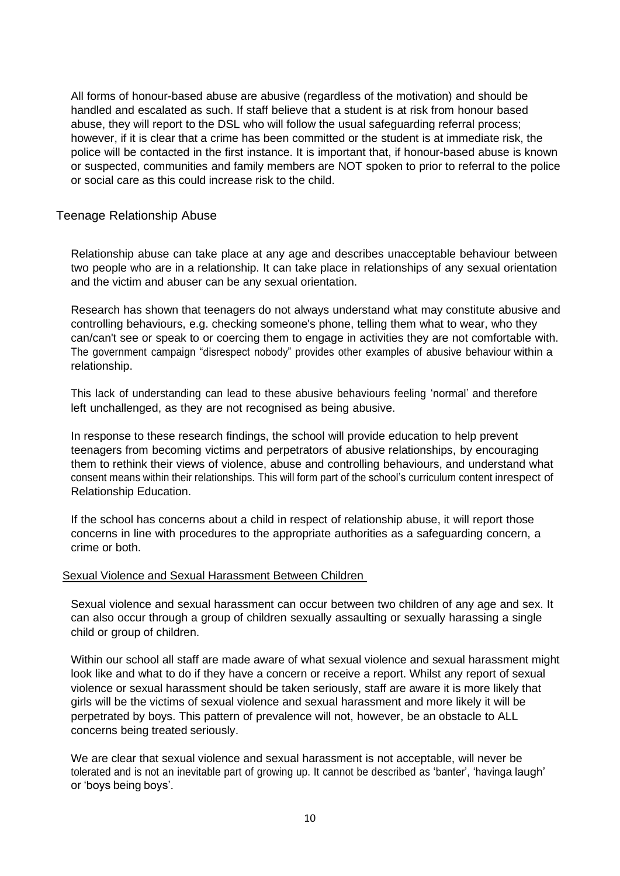All forms of honour-based abuse are abusive (regardless of the motivation) and should be handled and escalated as such. If staff believe that a student is at risk from honour based abuse, they will report to the DSL who will follow the usual safeguarding referral process; however, if it is clear that a crime has been committed or the student is at immediate risk, the police will be contacted in the first instance. It is important that, if honour-based abuse is known or suspected, communities and family members are NOT spoken to prior to referral to the police or social care as this could increase risk to the child.

#### <span id="page-9-0"></span>Teenage Relationship Abuse

Relationship abuse can take place at any age and describes unacceptable behaviour between two people who are in a relationship. It can take place in relationships of any sexual orientation and the victim and abuser can be any sexual orientation.

Research has shown that teenagers do not always understand what may constitute abusive and controlling behaviours, e.g. checking someone's phone, telling them what to wear, who they can/can't see or speak to or coercing them to engage in activities they are not comfortable with. The government campaign "disrespect nobody" provides other examples of abusive behaviour within a relationship.

This lack of understanding can lead to these abusive behaviours feeling 'normal' and therefore left unchallenged, as they are not recognised as being abusive.

In response to these research findings, the school will provide education to help prevent teenagers from becoming victims and perpetrators of abusive relationships, by encouraging them to rethink their views of violence, abuse and controlling behaviours, and understand what consent means within their relationships. This will form part of the school's curriculum content inrespect of Relationship Education.

If the school has concerns about a child in respect of relationship abuse, it will report those concerns in line with procedures to the appropriate authorities as a safeguarding concern, a crime or both.

#### <span id="page-9-1"></span>Sexual Violence and Sexual Harassment Between Children

Sexual violence and sexual harassment can occur between two children of any age and sex. It can also occur through a group of children sexually assaulting or sexually harassing a single child or group of children.

Within our school all staff are made aware of what sexual violence and sexual harassment might look like and what to do if they have a concern or receive a report. Whilst any report of sexual violence or sexual harassment should be taken seriously, staff are aware it is more likely that girls will be the victims of sexual violence and sexual harassment and more likely it will be perpetrated by boys. This pattern of prevalence will not, however, be an obstacle to ALL concerns being treated seriously.

We are clear that sexual violence and sexual harassment is not acceptable, will never be tolerated and is not an inevitable part of growing up. It cannot be described as 'banter', 'havinga laugh' or 'boys being boys'.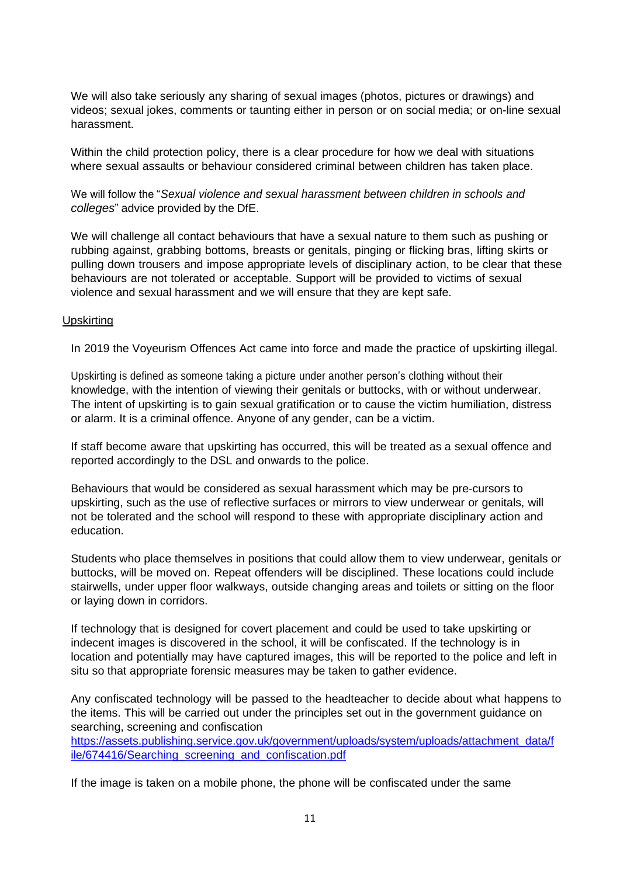We will also take seriously any sharing of sexual images (photos, pictures or drawings) and videos; sexual jokes, comments or taunting either in person or on social media; or on-line sexual harassment.

Within the child protection policy, there is a clear procedure for how we deal with situations where sexual assaults or behaviour considered criminal between children has taken place.

We will follow the "*Sexual violence and sexual harassment between children in schools and colleges*" advice provided by the DfE.

We will challenge all contact behaviours that have a sexual nature to them such as pushing or rubbing against, grabbing bottoms, breasts or genitals, pinging or flicking bras, lifting skirts or pulling down trousers and impose appropriate levels of disciplinary action, to be clear that these behaviours are not tolerated or acceptable. Support will be provided to victims of sexual violence and sexual harassment and we will ensure that they are kept safe.

#### <span id="page-10-0"></span>Upskirting

In 2019 the Voyeurism Offences Act came into force and made the practice of upskirting illegal.

Upskirting is defined as someone taking a picture under another person's clothing without their knowledge, with the intention of viewing their genitals or buttocks, with or without underwear. The intent of upskirting is to gain sexual gratification or to cause the victim humiliation, distress or alarm. It is a criminal offence. Anyone of any gender, can be a victim.

If staff become aware that upskirting has occurred, this will be treated as a sexual offence and reported accordingly to the DSL and onwards to the police.

Behaviours that would be considered as sexual harassment which may be pre-cursors to upskirting, such as the use of reflective surfaces or mirrors to view underwear or genitals, will not be tolerated and the school will respond to these with appropriate disciplinary action and education.

Students who place themselves in positions that could allow them to view underwear, genitals or buttocks, will be moved on. Repeat offenders will be disciplined. These locations could include stairwells, under upper floor walkways, outside changing areas and toilets or sitting on the floor or laying down in corridors.

If technology that is designed for covert placement and could be used to take upskirting or indecent images is discovered in the school, it will be confiscated. If the technology is in location and potentially may have captured images, this will be reported to the police and left in situ so that appropriate forensic measures may be taken to gather evidence.

Any confiscated technology will be passed to the headteacher to decide about what happens to the items. This will be carried out under the principles set out in the government guidance on searching, screening and confiscation

[https://assets.publishing.service.gov.uk/government/uploads/system/uploads/attachment\\_data/f](https://assets.publishing.service.gov.uk/government/uploads/system/uploads/attachment_data/file/674416/Searching_screening_and_confiscation.pdf) [ile/674416/Searching\\_screening\\_and\\_confiscation.pdf](https://assets.publishing.service.gov.uk/government/uploads/system/uploads/attachment_data/file/674416/Searching_screening_and_confiscation.pdf)

If the image is taken on a mobile phone, the phone will be confiscated under the same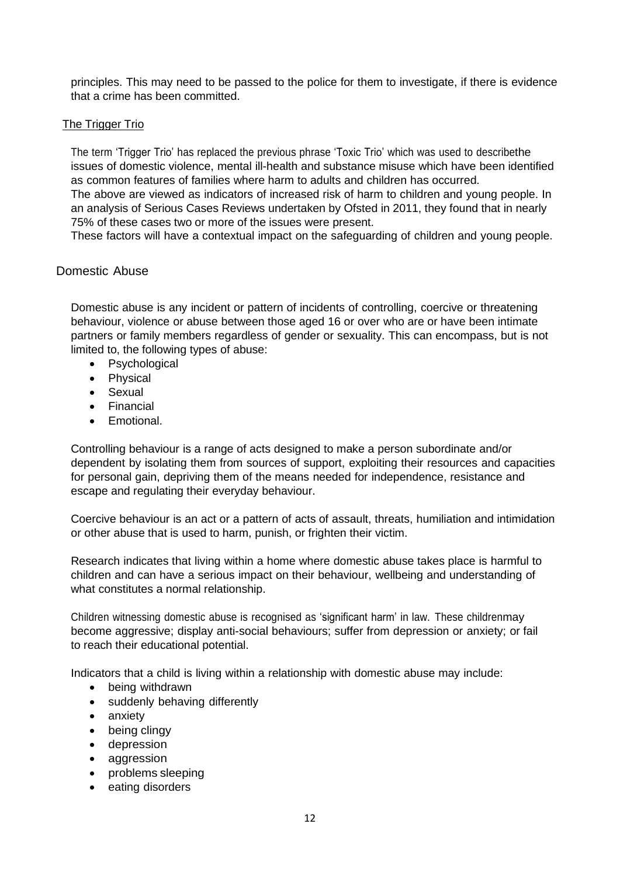principles. This may need to be passed to the police for them to investigate, if there is evidence that a crime has been committed.

#### <span id="page-11-0"></span>**The Trigger Trio**

The term 'Trigger Trio' has replaced the previous phrase 'Toxic Trio' which was used to describethe issues of domestic violence, mental ill-health and substance misuse which have been identified as common features of families where harm to adults and children has occurred.

The above are viewed as indicators of increased risk of harm to children and young people. In an analysis of Serious Cases Reviews undertaken by Ofsted in 2011, they found that in nearly 75% of these cases two or more of the issues were present.

These factors will have a contextual impact on the safeguarding of children and young people.

#### <span id="page-11-1"></span>Domestic Abuse

Domestic abuse is any incident or pattern of incidents of controlling, coercive or threatening behaviour, violence or abuse between those aged 16 or over who are or have been intimate partners or family members regardless of gender or sexuality. This can encompass, but is not limited to, the following types of abuse:

- Psychological
- Physical
- Sexual
- Financial
- Emotional.

Controlling behaviour is a range of acts designed to make a person subordinate and/or dependent by isolating them from sources of support, exploiting their resources and capacities for personal gain, depriving them of the means needed for independence, resistance and escape and regulating their everyday behaviour.

Coercive behaviour is an act or a pattern of acts of assault, threats, humiliation and intimidation or other abuse that is used to harm, punish, or frighten their victim.

Research indicates that living within a home where domestic abuse takes place is harmful to children and can have a serious impact on their behaviour, wellbeing and understanding of what constitutes a normal relationship.

Children witnessing domestic abuse is recognised as 'significant harm' in law. These childrenmay become aggressive; display anti-social behaviours; suffer from depression or anxiety; or fail to reach their educational potential.

Indicators that a child is living within a relationship with domestic abuse may include:

- being withdrawn
- suddenly behaving differently
- anxiety
- being clingy
- depression
- aggression
- problems sleeping
- eating disorders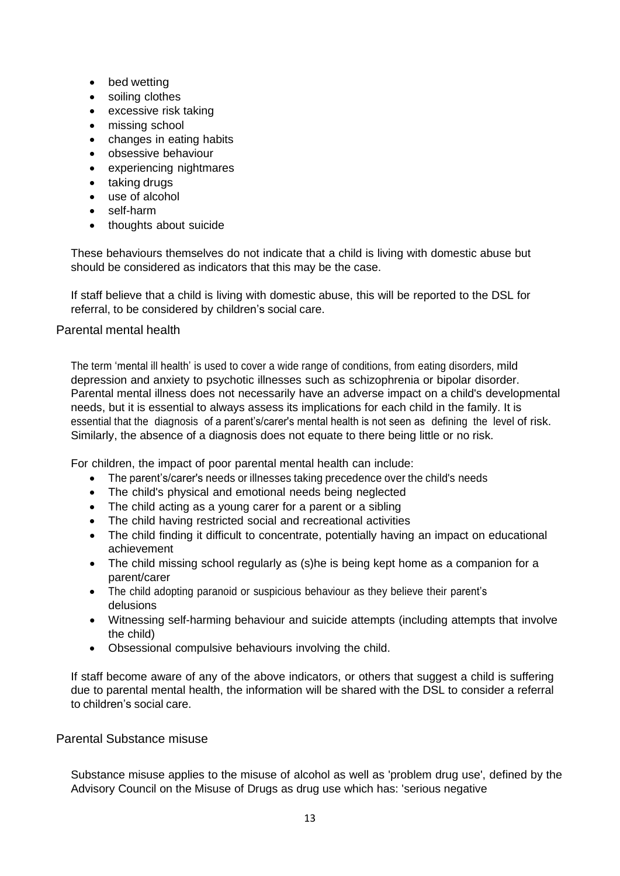- bed wetting
- soiling clothes
- excessive risk taking
- missing school
- changes in eating habits
- obsessive behaviour
- experiencing nightmares
- taking drugs
- use of alcohol
- self-harm
- thoughts about suicide

These behaviours themselves do not indicate that a child is living with domestic abuse but should be considered as indicators that this may be the case.

If staff believe that a child is living with domestic abuse, this will be reported to the DSL for referral, to be considered by children's social care.

#### <span id="page-12-0"></span>Parental mental health

The term 'mental ill health' is used to cover a wide range of conditions, from eating disorders, mild depression and anxiety to psychotic illnesses such as schizophrenia or bipolar disorder. Parental mental illness does not necessarily have an adverse impact on a child's developmental needs, but it is essential to always assess its implications for each child in the family. It is essential that the diagnosis of a parent's/carer's mental health is not seen as defining the level of risk. Similarly, the absence of a diagnosis does not equate to there being little or no risk.

For children, the impact of poor parental mental health can include:

- The parent's/carer's needs or illnesses taking precedence over the child's needs
- The child's physical and emotional needs being neglected
- The child acting as a young carer for a parent or a sibling
- The child having restricted social and recreational activities
- The child finding it difficult to concentrate, potentially having an impact on educational achievement
- The child missing school regularly as (s)he is being kept home as a companion for a parent/carer
- The child adopting paranoid or suspicious behaviour as they believe their parent's delusions
- Witnessing self-harming behaviour and suicide attempts (including attempts that involve the child)
- Obsessional compulsive behaviours involving the child.

If staff become aware of any of the above indicators, or others that suggest a child is suffering due to parental mental health, the information will be shared with the DSL to consider a referral to children's social care.

#### <span id="page-12-1"></span>Parental Substance misuse

Substance misuse applies to the misuse of alcohol as well as 'problem drug use', defined by the Advisory Council on the Misuse of Drugs as drug use which has: 'serious negative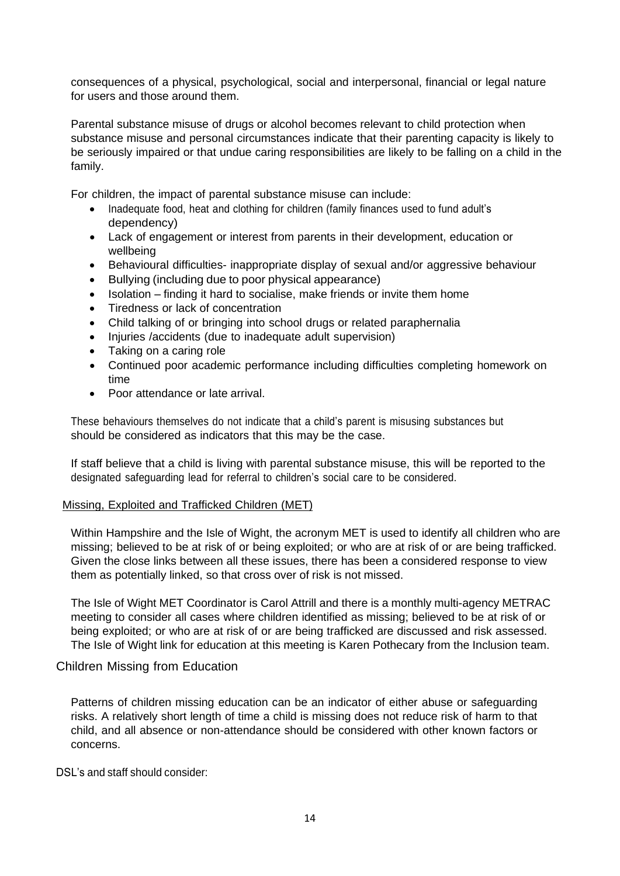consequences of a physical, psychological, social and interpersonal, financial or legal nature for users and those around them.

Parental substance misuse of drugs or alcohol becomes relevant to child protection when substance misuse and personal circumstances indicate that their parenting capacity is likely to be seriously impaired or that undue caring responsibilities are likely to be falling on a child in the family.

For children, the impact of parental substance misuse can include:

- Inadequate food, heat and clothing for children (family finances used to fund adult's dependency)
- Lack of engagement or interest from parents in their development, education or wellbeing
- Behavioural difficulties- inappropriate display of sexual and/or aggressive behaviour
- Bullying (including due to poor physical appearance)
- Isolation finding it hard to socialise, make friends or invite them home
- Tiredness or lack of concentration
- Child talking of or bringing into school drugs or related paraphernalia
- Injuries /accidents (due to inadequate adult supervision)
- Taking on a caring role
- Continued poor academic performance including difficulties completing homework on time
- Poor attendance or late arrival.

These behaviours themselves do not indicate that a child's parent is misusing substances but should be considered as indicators that this may be the case.

If staff believe that a child is living with parental substance misuse, this will be reported to the designated safeguarding lead for referral to children's social care to be considered.

#### <span id="page-13-0"></span>Missing, Exploited and Trafficked Children (MET)

Within Hampshire and the Isle of Wight, the acronym MET is used to identify all children who are missing; believed to be at risk of or being exploited; or who are at risk of or are being trafficked. Given the close links between all these issues, there has been a considered response to view them as potentially linked, so that cross over of risk is not missed.

The Isle of Wight MET Coordinator is Carol Attrill and there is a monthly multi-agency METRAC meeting to consider all cases where children identified as missing; believed to be at risk of or being exploited; or who are at risk of or are being trafficked are discussed and risk assessed. The Isle of Wight link for education at this meeting is Karen Pothecary from the Inclusion team.

#### <span id="page-13-1"></span>Children Missing from Education

Patterns of children missing education can be an indicator of either abuse or safeguarding risks. A relatively short length of time a child is missing does not reduce risk of harm to that child, and all absence or non-attendance should be considered with other known factors or concerns.

DSL's and staff should consider: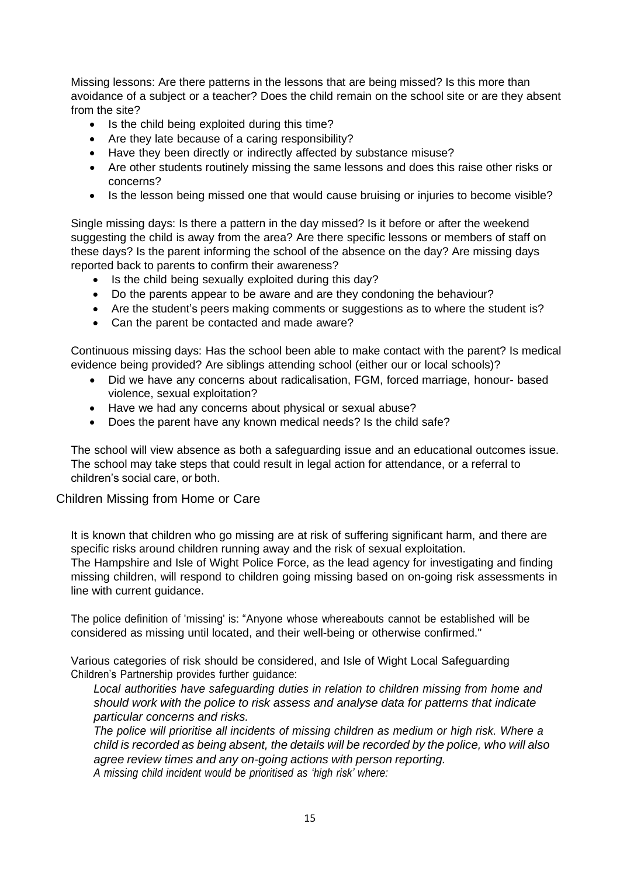Missing lessons: Are there patterns in the lessons that are being missed? Is this more than avoidance of a subject or a teacher? Does the child remain on the school site or are they absent from the site?

- Is the child being exploited during this time?
- Are they late because of a caring responsibility?
- Have they been directly or indirectly affected by substance misuse?
- Are other students routinely missing the same lessons and does this raise other risks or concerns?
- Is the lesson being missed one that would cause bruising or injuries to become visible?

Single missing days: Is there a pattern in the day missed? Is it before or after the weekend suggesting the child is away from the area? Are there specific lessons or members of staff on these days? Is the parent informing the school of the absence on the day? Are missing days reported back to parents to confirm their awareness?

- Is the child being sexually exploited during this day?
- Do the parents appear to be aware and are they condoning the behaviour?
- Are the student's peers making comments or suggestions as to where the student is?
- Can the parent be contacted and made aware?

Continuous missing days: Has the school been able to make contact with the parent? Is medical evidence being provided? Are siblings attending school (either our or local schools)?

- Did we have any concerns about radicalisation, FGM, forced marriage, honour- based violence, sexual exploitation?
- Have we had any concerns about physical or sexual abuse?
- Does the parent have any known medical needs? Is the child safe?

The school will view absence as both a safeguarding issue and an educational outcomes issue. The school may take steps that could result in legal action for attendance, or a referral to children's social care, or both.

#### <span id="page-14-0"></span>Children Missing from Home or Care

It is known that children who go missing are at risk of suffering significant harm, and there are specific risks around children running away and the risk of sexual exploitation. The Hampshire and Isle of Wight Police Force, as the lead agency for investigating and finding missing children, will respond to children going missing based on on-going risk assessments in line with current guidance.

The police definition of 'missing' is: "Anyone whose whereabouts cannot be established will be considered as missing until located, and their well-being or otherwise confirmed."

Various categories of risk should be considered, and Isle of Wight Local Safeguarding Children's Partnership provides further guidance:

*Local authorities have safeguarding duties in relation to children missing from home and should work with the police to risk assess and analyse data for patterns that indicate particular concerns and risks.*

*The police will prioritise all incidents of missing children as medium or high risk. Where a child is recorded as being absent, the details will be recorded by the police, who will also agree review times and any on-going actions with person reporting. A missing child incident would be prioritised as 'high risk' where:*

15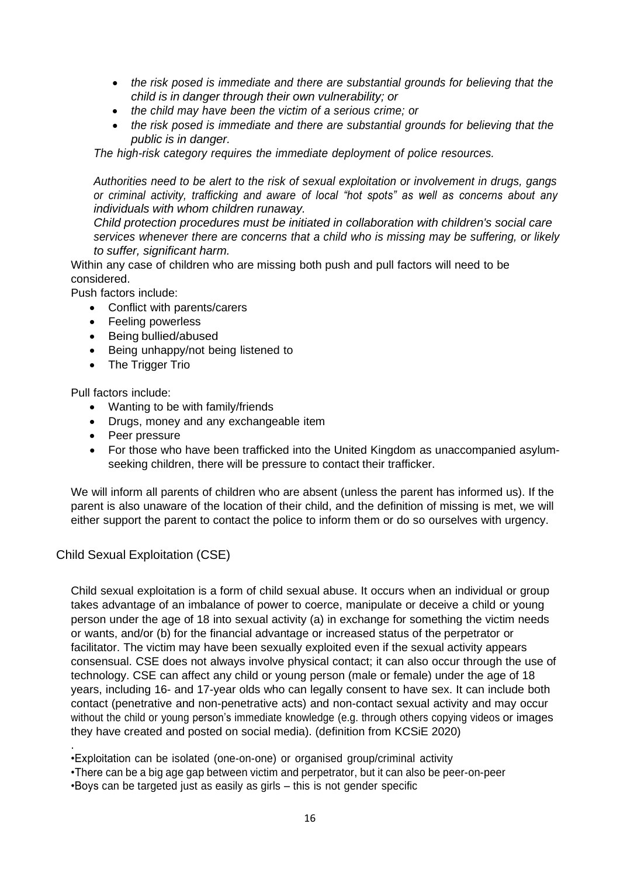- *the risk posed is immediate and there are substantial grounds for believing that the child is in danger through their own vulnerability; or*
- *the child may have been the victim of a serious crime; or*
- *the risk posed is immediate and there are substantial grounds for believing that the public is in danger.*

*The high-risk category requires the immediate deployment of police resources.*

*Authorities need to be alert to the risk of sexual exploitation or involvement in drugs, gangs or criminal activity, trafficking and aware of local "hot spots" as well as concerns about any individuals with whom children runaway.*

*Child protection procedures must be initiated in collaboration with children's social care services whenever there are concerns that a child who is missing may be suffering, or likely to suffer, significant harm.*

Within any case of children who are missing both push and pull factors will need to be considered.

Push factors include:

- Conflict with parents/carers
- Feeling powerless
- Being bullied/abused
- Being unhappy/not being listened to
- The Trigger Trio

Pull factors include:

- Wanting to be with family/friends
- Drugs, money and any exchangeable item
- Peer pressure
- For those who have been trafficked into the United Kingdom as unaccompanied asylumseeking children, there will be pressure to contact their trafficker.

We will inform all parents of children who are absent (unless the parent has informed us). If the parent is also unaware of the location of their child, and the definition of missing is met, we will either support the parent to contact the police to inform them or do so ourselves with urgency.

#### <span id="page-15-0"></span>Child Sexual Exploitation (CSE)

.

Child sexual exploitation is a form of child sexual abuse. It occurs when an individual or group takes advantage of an imbalance of power to coerce, manipulate or deceive a child or young person under the age of 18 into sexual activity (a) in exchange for something the victim needs or wants, and/or (b) for the financial advantage or increased status of the perpetrator or facilitator. The victim may have been sexually exploited even if the sexual activity appears consensual. CSE does not always involve physical contact; it can also occur through the use of technology. CSE can affect any child or young person (male or female) under the age of 18 years, including 16- and 17-year olds who can legally consent to have sex. It can include both contact (penetrative and non-penetrative acts) and non-contact sexual activity and may occur without the child or young person's immediate knowledge (e.g. through others copying videos or images they have created and posted on social media). (definition from KCSiE 2020)

•Exploitation can be isolated (one-on-one) or organised group/criminal activity

•There can be a big age gap between victim and perpetrator, but it can also be peer-on-peer

•Boys can be targeted just as easily as girls – this is not gender specific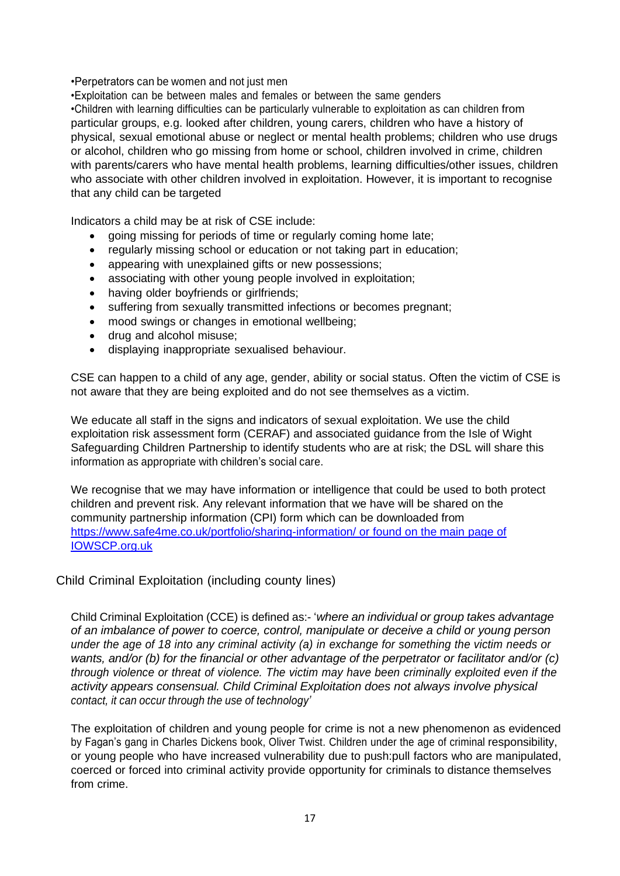#### •Perpetrators can be women and not just men

•Exploitation can be between males and females or between the same genders •Children with learning difficulties can be particularly vulnerable to exploitation as can children from particular groups, e.g. looked after children, young carers, children who have a history of physical, sexual emotional abuse or neglect or mental health problems; children who use drugs or alcohol, children who go missing from home or school, children involved in crime, children with parents/carers who have mental health problems, learning difficulties/other issues, children who associate with other children involved in exploitation. However, it is important to recognise that any child can be targeted

Indicators a child may be at risk of CSE include:

- going missing for periods of time or regularly coming home late;
- regularly missing school or education or not taking part in education;
- appearing with unexplained gifts or new possessions;
- associating with other young people involved in exploitation;
- having older boyfriends or girlfriends;
- suffering from sexually transmitted infections or becomes pregnant;
- mood swings or changes in emotional wellbeing;
- drug and alcohol misuse;
- displaying inappropriate sexualised behaviour.

CSE can happen to a child of any age, gender, ability or social status. Often the victim of CSE is not aware that they are being exploited and do not see themselves as a victim.

We educate all staff in the signs and indicators of sexual exploitation. We use the child exploitation risk assessment form [\(CERAF\)](http://www.hampshiresafeguardingchildrenboard.org.uk/user_controlled_lcms_area/uploaded_files/SERAF%20Risk%20Assessment%20Form%20UPDATED%20Sept%202015%20%282%29.doc) and [associated](http://www.hampshiresafeguardingchildrenboard.org.uk/user_controlled_lcms_area/uploaded_files/SERAF%20Risk%20Assessment%20-%20Scoring%20Guidance_%28HF000005713337%29.doc) guidance from the Isle of Wight Safeguarding Children Partnership to identify students who are at risk; the DSL will share this information as appropriate with children's social care.

We recognise that we may have information or intelligence that could be used to both protect children and prevent risk. Any relevant information that we have will be shared on the community partnership information (CPI) form which can be downloaded from <https://www.safe4me.co.uk/portfolio/sharing-information/> or found on the main page of IOWSCP.org.uk

#### <span id="page-16-0"></span>Child Criminal Exploitation (including county lines)

Child Criminal Exploitation (CCE) is defined as:- '*where an individual or group takes advantage of an imbalance of power to coerce, control, manipulate or deceive a child or young person under the age of 18 into any criminal activity (a) in exchange for something the victim needs or wants, and/or (b) for the financial or other advantage of the perpetrator or facilitator and/or (c) through violence or threat of violence. The victim may have been criminally exploited even if the activity appears consensual. Child Criminal Exploitation does not always involve physical contact, it can occur through the use of technology'*

The exploitation of children and young people for crime is not a new phenomenon as evidenced by Fagan's gang in Charles Dickens book, Oliver Twist. Children under the age of criminal responsibility, or young people who have increased vulnerability due to push:pull factors who are manipulated, coerced or forced into criminal activity provide opportunity for criminals to distance themselves from crime.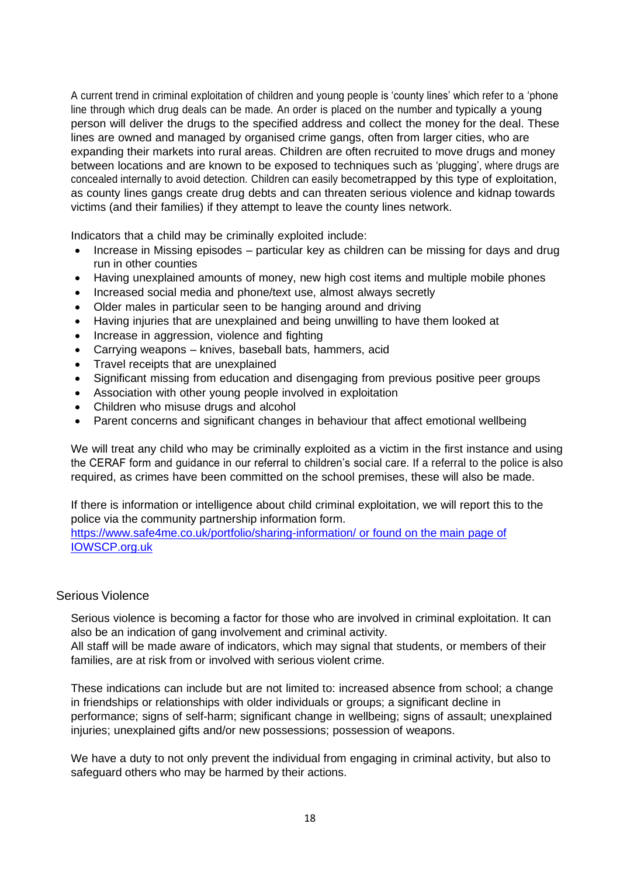A current trend in criminal exploitation of children and young people is 'county lines' which refer to a 'phone line through which drug deals can be made. An order is placed on the number and typically a young person will deliver the drugs to the specified address and collect the money for the deal. These lines are owned and managed by organised crime gangs, often from larger cities, who are expanding their markets into rural areas. Children are often recruited to move drugs and money between locations and are known to be exposed to techniques such as 'plugging', where drugs are concealed internally to avoid detection. Children can easily becometrapped by this type of exploitation, as county lines gangs create drug debts and can threaten serious violence and kidnap towards victims (and their families) if they attempt to leave the county lines network.

Indicators that a child may be criminally exploited include:

- Increase in Missing episodes particular key as children can be missing for days and drug run in other counties
- Having unexplained amounts of money, new high cost items and multiple mobile phones
- Increased social media and phone/text use, almost always secretly
- Older males in particular seen to be hanging around and driving
- Having injuries that are unexplained and being unwilling to have them looked at
- Increase in aggression, violence and fighting
- Carrying weapons knives, baseball bats, hammers, acid
- Travel receipts that are unexplained
- Significant missing from education and disengaging from previous positive peer groups
- Association with other young people involved in exploitation
- Children who misuse drugs and alcohol
- Parent concerns and significant changes in behaviour that affect emotional wellbeing

We will treat any child who may be criminally exploited as a victim in the first instance and using the CERAF form and guidance in our referral to children's social care. If a referral to the police is also required, as crimes have been committed on the school premises, these will also be made.

If there is information or intelligence about child criminal exploitation, we will report this to the police via the community partnership information form.

<https://www.safe4me.co.uk/portfolio/sharing-information/> or found on the main page of IOWSCP.org.uk

#### <span id="page-17-0"></span>Serious Violence

Serious violence is becoming a factor for those who are involved in criminal exploitation. It can also be an indication of gang involvement and criminal activity.

All staff will be made aware of indicators, which may signal that students, or members of their families, are at risk from or involved with serious violent crime.

These indications can include but are not limited to: increased absence from school; a change in friendships or relationships with older individuals or groups; a significant decline in performance; signs of self-harm; significant change in wellbeing; signs of assault; unexplained injuries; unexplained gifts and/or new possessions; possession of weapons.

We have a duty to not only prevent the individual from engaging in criminal activity, but also to safeguard others who may be harmed by their actions.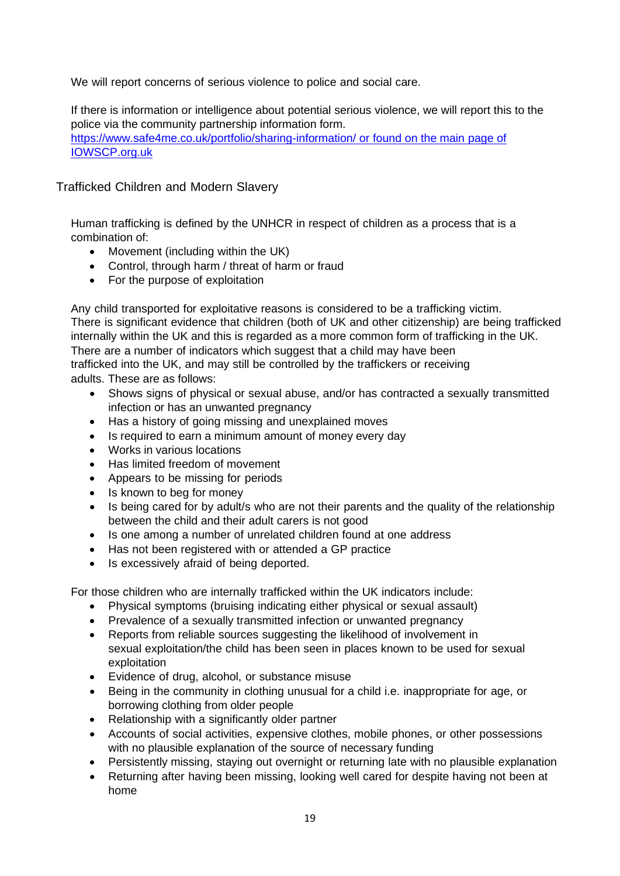We will report concerns of serious violence to police and social care.

If there is information or intelligence about potential serious violence, we will report this to the police via the community partnership information form. <https://www.safe4me.co.uk/portfolio/sharing-information/> or found on the main page of IOWSCP.org.uk

<span id="page-18-0"></span>Trafficked Children and Modern Slavery

Human trafficking is defined by the UNHCR in respect of children as a process that is a combination of:

- Movement (including within the UK)
- Control, through harm / threat of harm or fraud
- For the purpose of exploitation

Any child transported for exploitative reasons is considered to be a trafficking victim. There is significant evidence that children (both of UK and other citizenship) are being trafficked internally within the UK and this is regarded as a more common form of trafficking in the UK. There are a number of indicators which suggest that a child may have been

trafficked into the UK, and may still be controlled by the traffickers or receiving adults. These are as follows:

- Shows signs of physical or sexual abuse, and/or has contracted a sexually transmitted infection or has an unwanted pregnancy
- Has a history of going missing and unexplained moves
- Is required to earn a minimum amount of money every day
- Works in various locations
- Has limited freedom of movement
- Appears to be missing for periods
- Is known to beg for money
- Is being cared for by adult/s who are not their parents and the quality of the relationship between the child and their adult carers is not good
- Is one among a number of unrelated children found at one address
- Has not been registered with or attended a GP practice
- Is excessively afraid of being deported.

For those children who are internally trafficked within the UK indicators include:

- Physical symptoms (bruising indicating either physical or sexual assault)
- Prevalence of a sexually transmitted infection or unwanted pregnancy
- Reports from reliable sources suggesting the likelihood of involvement in sexual exploitation/the child has been seen in places known to be used for sexual exploitation
- Evidence of drug, alcohol, or substance misuse
- Being in the community in clothing unusual for a child i.e. inappropriate for age, or borrowing clothing from older people
- Relationship with a significantly older partner
- Accounts of social activities, expensive clothes, mobile phones, or other possessions with no plausible explanation of the source of necessary funding
- Persistently missing, staying out overnight or returning late with no plausible explanation
- Returning after having been missing, looking well cared for despite having not been at home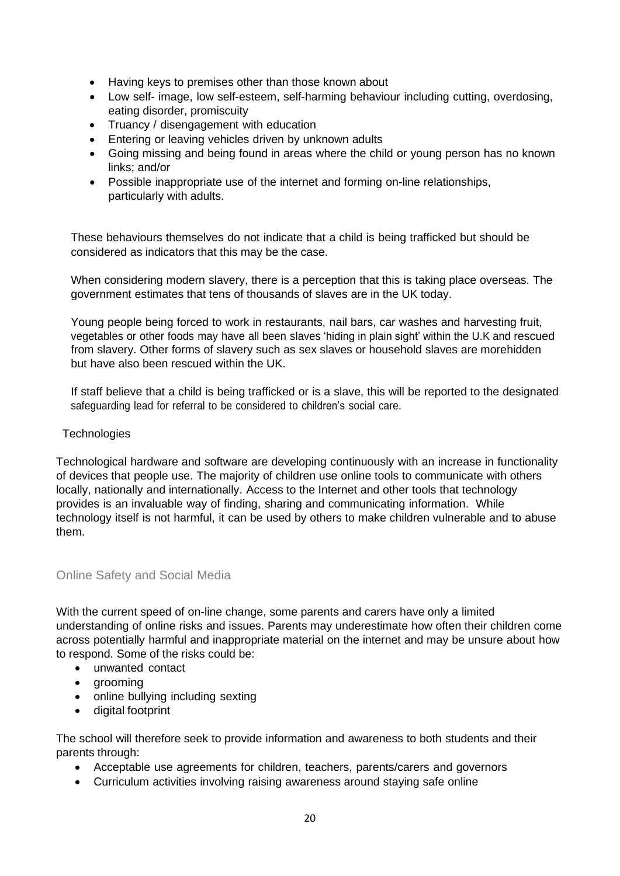- Having keys to premises other than those known about
- Low self- image, low self-esteem, self-harming behaviour including cutting, overdosing, eating disorder, promiscuity
- Truancy / disengagement with education
- Entering or leaving vehicles driven by unknown adults
- Going missing and being found in areas where the child or young person has no known links; and/or
- Possible inappropriate use of the internet and forming on-line relationships, particularly with adults.

These behaviours themselves do not indicate that a child is being trafficked but should be considered as indicators that this may be the case.

When considering modern slavery, there is a perception that this is taking place overseas. The government estimates that tens of thousands of slaves are in the UK today.

Young people being forced to work in restaurants, nail bars, car washes and harvesting fruit, vegetables or other foods may have all been slaves 'hiding in plain sight' within the U.K and rescued from slavery. Other forms of slavery such as sex slaves or household slaves are morehidden but have also been rescued within the UK.

If staff believe that a child is being trafficked or is a slave, this will be reported to the designated safeguarding lead for referral to be considered to children's social care.

#### <span id="page-19-0"></span>**Technologies**

Technological hardware and software are developing continuously with an increase in functionality of devices that people use. The majority of children use online tools to communicate with others locally, nationally and internationally. Access to the Internet and other tools that technology provides is an invaluable way of finding, sharing and communicating information. While technology itself is not harmful, it can be used by others to make children vulnerable and to abuse them.

#### <span id="page-19-1"></span>Online Safety and Social Media

With the current speed of on-line change, some parents and carers have only a limited understanding of online risks and issues. Parents may underestimate how often their children come across potentially harmful and inappropriate material on the internet and may be unsure about how to respond. Some of the risks could be:

- unwanted contact
- grooming
- online bullying including sexting
- digital footprint

The school will therefore seek to provide information and awareness to both students and their parents through:

- Acceptable use agreements for children, teachers, parents/carers and governors
- Curriculum activities involving raising awareness around staying safe online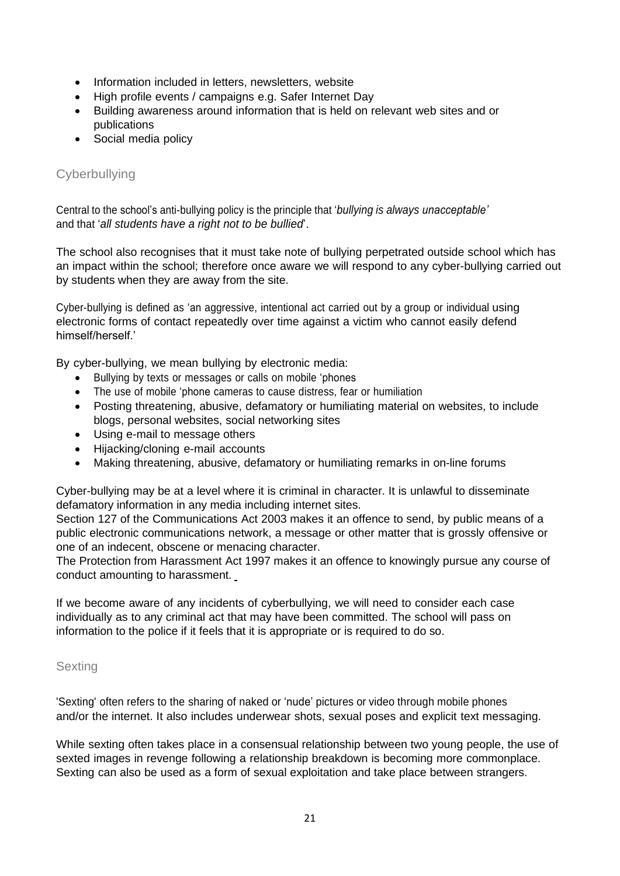- Information included in letters, newsletters, website
- High profile events / campaigns e.g. Safer Internet Day
- Building awareness around information that is held on relevant web sites and or publications
- Social media policy

#### <span id="page-20-0"></span>**Cyberbullying**

Central to the school's anti-bullying policy is the principle that '*bullying is always unacceptable'* and that '*all students have a right not to be bullied*'.

The school also recognises that it must take note of bullying perpetrated outside school which has an impact within the school; therefore once aware we will respond to any cyber-bullying carried out by students when they are away from the site.

Cyber-bullying is defined as 'an aggressive, intentional act carried out by a group or individual using electronic forms of contact repeatedly over time against a victim who cannot easily defend himself/herself.'

By cyber-bullying, we mean bullying by electronic media:

- Bullying by texts or messages or calls on mobile 'phones
- The use of mobile 'phone cameras to cause distress, fear or humiliation
- Posting threatening, abusive, defamatory or humiliating material on websites, to include blogs, personal websites, social networking sites
- Using e-mail to message others
- Hijacking/cloning e-mail accounts
- Making threatening, abusive, defamatory or humiliating remarks in on-line forums

Cyber-bullying may be at a level where it is criminal in character. It is unlawful to disseminate defamatory information in any media including internet sites.

Section 127 of the Communications Act 2003 makes it an offence to send, by public means of a public electronic communications network, a message or other matter that is grossly offensive or one of an indecent, obscene or menacing character.

The Protection from Harassment Act 1997 makes it an offence to knowingly pursue any course of conduct amounting to harassment.

If we become aware of any incidents of cyberbullying, we will need to consider each case individually as to any criminal act that may have been committed. The school will pass on information to the police if it feels that it is appropriate or is required to do so.

#### <span id="page-20-1"></span>**Sexting**

'Sexting' often refers to the sharing of naked or 'nude' pictures or video through mobile phones and/or the internet. It also includes underwear shots, sexual poses and explicit text messaging.

While sexting often takes place in a consensual relationship between two young people, the use of sexted images in revenge following a relationship breakdown is becoming more commonplace. Sexting can also be used as a form of sexual exploitation and take place between strangers.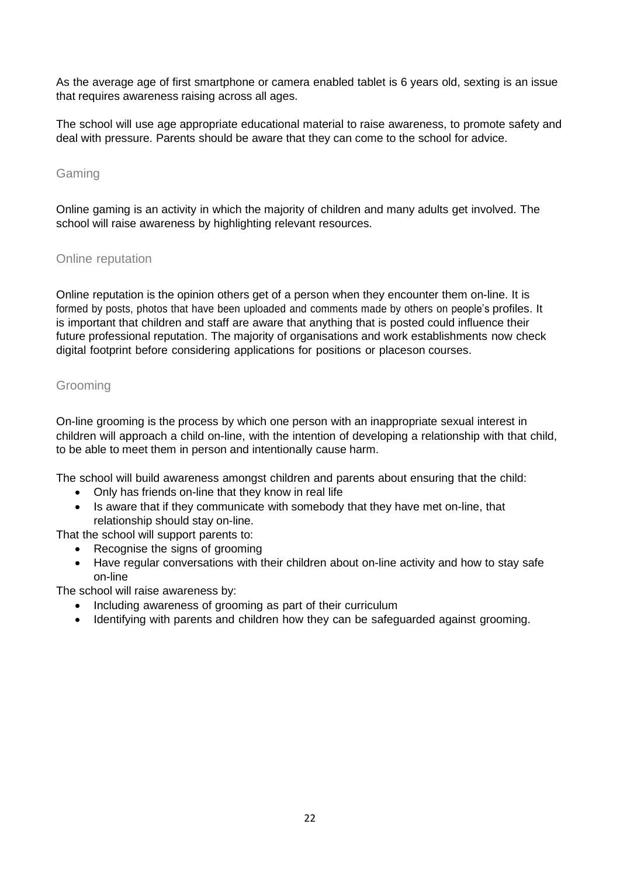As the average age of first smartphone or camera enabled tablet is 6 years old, sexting is an issue that requires awareness raising across all ages.

The school will use age appropriate educational material to raise awareness, to promote safety and deal with pressure. Parents should be aware that they can come to the school for advice.

#### <span id="page-21-0"></span>Gaming

Online gaming is an activity in which the majority of children and many adults get involved. The school will raise awareness by highlighting relevant resources.

#### <span id="page-21-1"></span>Online reputation

Online reputation is the opinion others get of a person when they encounter them on-line. It is formed by posts, photos that have been uploaded and comments made by others on people's profiles. It is important that children and staff are aware that anything that is posted could influence their future professional reputation. The majority of organisations and work establishments now check digital footprint before considering applications for positions or placeson courses.

#### <span id="page-21-2"></span>Grooming

On-line grooming is the process by which one person with an inappropriate sexual interest in children will approach a child on-line, with the intention of developing a relationship with that child, to be able to meet them in person and intentionally cause harm.

The school will build awareness amongst children and parents about ensuring that the child:

- Only has friends on-line that they know in real life
- Is aware that if they communicate with somebody that they have met on-line, that relationship should stay on-line.

That the school will support parents to:

- Recognise the signs of grooming
- Have regular conversations with their children about on-line activity and how to stay safe on-line

The school will raise awareness by:

- Including awareness of grooming as part of their curriculum
- Identifying with parents and children how they can be safeguarded against grooming.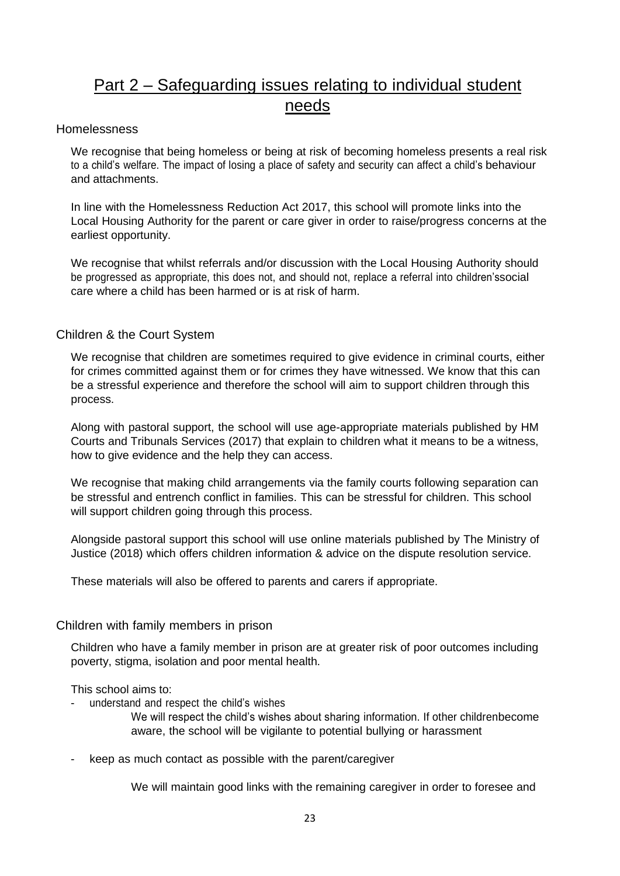# Part 2 – Safeguarding issues relating to individual student needs

#### <span id="page-22-1"></span><span id="page-22-0"></span>Homelessness

We recognise that being homeless or being at risk of becoming homeless presents a real risk to a child's welfare. The impact of losing a place of safety and security can affect a child's behaviour and attachments.

In line with the Homelessness Reduction Act 2017, this school will promote links into the Local Housing Authority for the parent or care giver in order to raise/progress concerns at the earliest opportunity.

We recognise that whilst referrals and/or discussion with the Local Housing Authority should be progressed as appropriate, this does not, and should not, replace a referral into children'ssocial care where a child has been harmed or is at risk of harm.

#### <span id="page-22-2"></span>Children & the Court System

We recognise that children are sometimes required to give evidence in criminal courts, either for crimes committed against them or for crimes they have witnessed. We know that this can be a stressful experience and therefore the school will aim to support children through this process.

Along with pastoral support, the school will use age-appropriate materials published by HM Courts and Tribunals Services (2017) that explain to children what it means to be a witness, how to give evidence and the help they can access.

We recognise that making child arrangements via the family courts following separation can be stressful and entrench conflict in families. This can be stressful for children. This school will support children going through this process.

Alongside pastoral support this school will use online materials published by The Ministry of Justice (2018) which offers children information & advice on the dispute resolution service.

These materials will also be offered to parents and carers if appropriate.

#### <span id="page-22-3"></span>Children with family members in prison

Children who have a family member in prison are at greater risk of poor outcomes including poverty, stigma, isolation and poor mental health.

This school aims to:

understand and respect the child's wishes

We will respect the child's wishes about sharing information. If other childrenbecome aware, the school will be vigilante to potential bullying or harassment

keep as much contact as possible with the parent/caregiver

We will maintain good links with the remaining caregiver in order to foresee and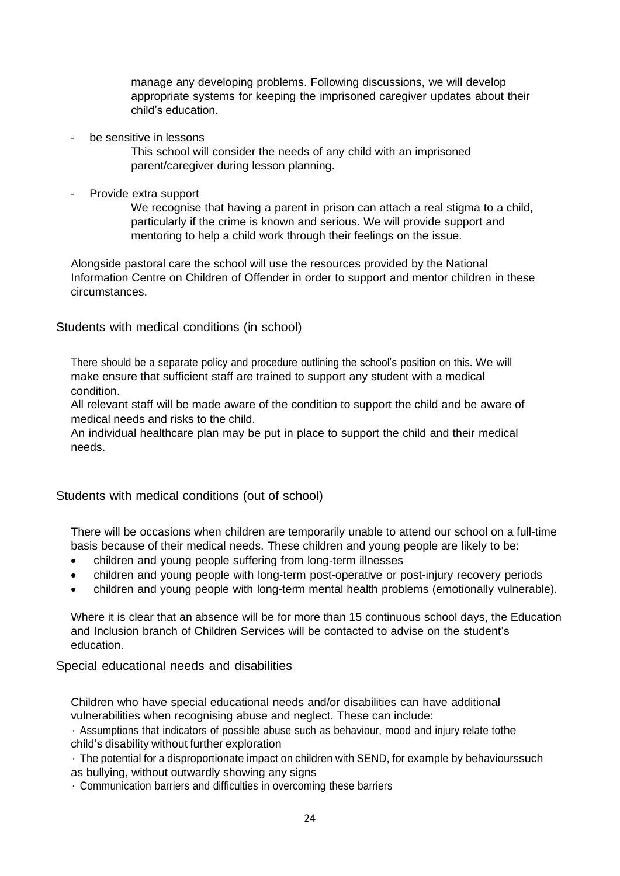manage any developing problems. Following discussions, we will develop appropriate systems for keeping the imprisoned caregiver updates about their child's education.

be sensitive in lessons

This school will consider the needs of any child with an imprisoned parent/caregiver during lesson planning.

Provide extra support

We recognise that having a parent in prison can attach a real stigma to a child, particularly if the crime is known and serious. We will provide support and mentoring to help a child work through their feelings on the issue.

Alongside pastoral care the school will use the resources provided by the National Information Centre on Children of Offender in order to support and mentor children in these circumstances.

<span id="page-23-0"></span>Students with medical conditions (in school)

There should be a separate policy and procedure outlining the school's position on this. We will make ensure that sufficient staff are trained to support any student with a medical condition.

All relevant staff will be made aware of the condition to support the child and be aware of medical needs and risks to the child.

An individual healthcare plan may be put in place to support the child and their medical needs.

<span id="page-23-1"></span>Students with medical conditions (out of school)

There will be occasions when children are temporarily unable to attend our school on a full-time basis because of their medical needs. These children and young people are likely to be:

- children and young people suffering from long-term illnesses
- children and young people with long-term post-operative or post-injury recovery periods
- children and young people with long-term mental health problems (emotionally vulnerable).

Where it is clear that an absence will be for more than 15 continuous school days, the Education and Inclusion branch of Children Services will be contacted to advise on the student's education.

<span id="page-23-2"></span>Special educational needs and disabilities

Children who have special educational needs and/or disabilities can have additional vulnerabilities when recognising abuse and neglect. These can include:

• Assumptions that indicators of possible abuse such as behaviour, mood and injury relate tothe child's disability without further exploration

• The potential for a disproportionate impact on children with SEND, for example by behaviourssuch as bullying, without outwardly showing any signs

• Communication barriers and difficulties in overcoming these barriers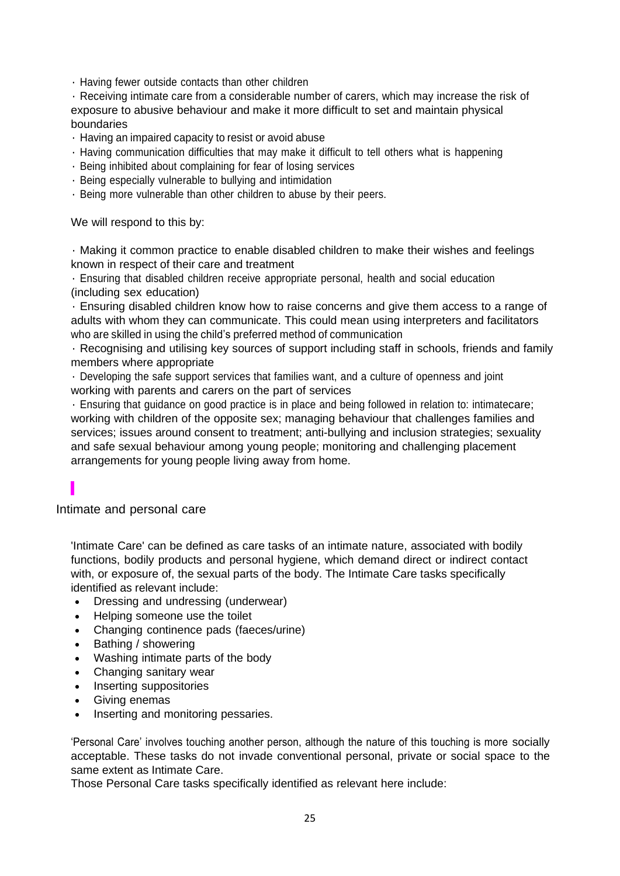• Having fewer outside contacts than other children

• Receiving intimate care from a considerable number of carers, which may increase the risk of exposure to abusive behaviour and make it more difficult to set and maintain physical boundaries

- Having an impaired capacity to resist or avoid abuse
- Having communication difficulties that may make it difficult to tell others what is happening
- Being inhibited about complaining for fear of losing services
- Being especially vulnerable to bullying and intimidation
- Being more vulnerable than other children to abuse by their peers.

We will respond to this by:

• Making it common practice to enable disabled children to make their wishes and feelings known in respect of their care and treatment

• Ensuring that disabled children receive appropriate personal, health and social education (including sex education)

• Ensuring disabled children know how to raise concerns and give them access to a range of adults with whom they can communicate. This could mean using interpreters and facilitators who are skilled in using the child's preferred method of communication

• Recognising and utilising key sources of support including staff in schools, friends and family members where appropriate

• Developing the safe support services that families want, and a culture of openness and joint working with parents and carers on the part of services

• Ensuring that guidance on good practice is in place and being followed in relation to: intimatecare; working with children of the opposite sex; managing behaviour that challenges families and services; issues around consent to treatment; anti-bullying and inclusion strategies; sexuality and safe sexual behaviour among young people; monitoring and challenging placement arrangements for young people living away from home.

<span id="page-24-0"></span>Intimate and personal care

'Intimate Care' can be defined as care tasks of an intimate nature, associated with bodily functions, bodily products and personal hygiene, which demand direct or indirect contact with, or exposure of, the sexual parts of the body. The Intimate Care tasks specifically identified as relevant include:

- Dressing and undressing (underwear)
- Helping someone use the toilet
- Changing continence pads (faeces/urine)
- Bathing / showering
- Washing intimate parts of the body
- Changing sanitary wear
- Inserting suppositories
- Giving enemas
- Inserting and monitoring pessaries.

'Personal Care' involves touching another person, although the nature of this touching is more socially acceptable. These tasks do not invade conventional personal, private or social space to the same extent as Intimate Care.

Those Personal Care tasks specifically identified as relevant here include: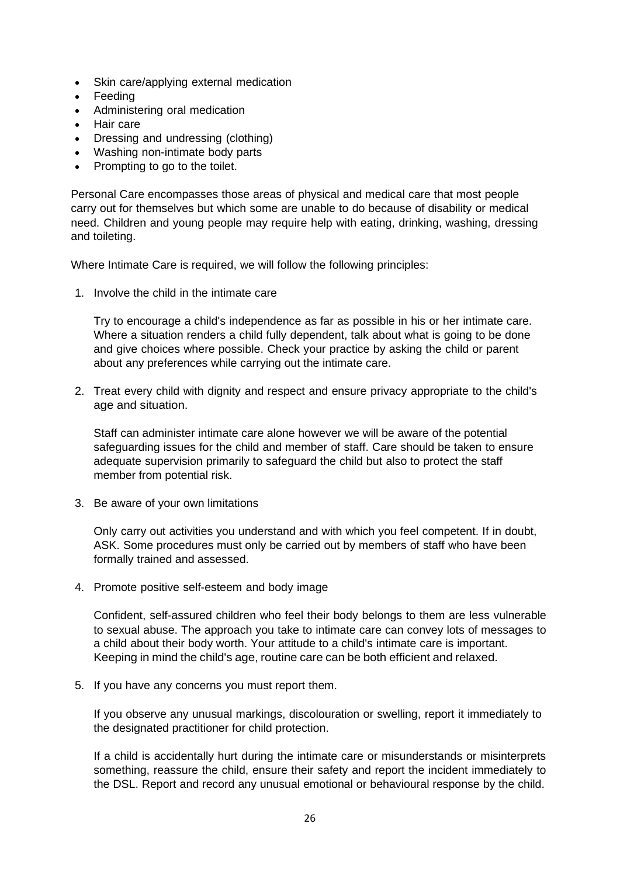- Skin care/applying external medication
- Feeding
- Administering oral medication
- Hair care
- Dressing and undressing (clothing)
- Washing non-intimate body parts
- Prompting to go to the toilet.

Personal Care encompasses those areas of physical and medical care that most people carry out for themselves but which some are unable to do because of disability or medical need. Children and young people may require help with eating, drinking, washing, dressing and toileting.

Where Intimate Care is required, we will follow the following principles:

1. Involve the child in the intimate care

Try to encourage a child's independence as far as possible in his or her intimate care. Where a situation renders a child fully dependent, talk about what is going to be done and give choices where possible. Check your practice by asking the child or parent about any preferences while carrying out the intimate care.

2. Treat every child with dignity and respect and ensure privacy appropriate to the child's age and situation.

Staff can administer intimate care alone however we will be aware of the potential safeguarding issues for the child and member of staff. Care should be taken to ensure adequate supervision primarily to safeguard the child but also to protect the staff member from potential risk.

3. Be aware of your own limitations

Only carry out activities you understand and with which you feel competent. If in doubt, ASK. Some procedures must only be carried out by members of staff who have been formally trained and assessed.

4. Promote positive self-esteem and body image

Confident, self-assured children who feel their body belongs to them are less vulnerable to sexual abuse. The approach you take to intimate care can convey lots of messages to a child about their body worth. Your attitude to a child's intimate care is important. Keeping in mind the child's age, routine care can be both efficient and relaxed.

5. If you have any concerns you must report them.

If you observe any unusual markings, discolouration or swelling, report it immediately to the designated practitioner for child protection.

If a child is accidentally hurt during the intimate care or misunderstands or misinterprets something, reassure the child, ensure their safety and report the incident immediately to the DSL. Report and record any unusual emotional or behavioural response by the child.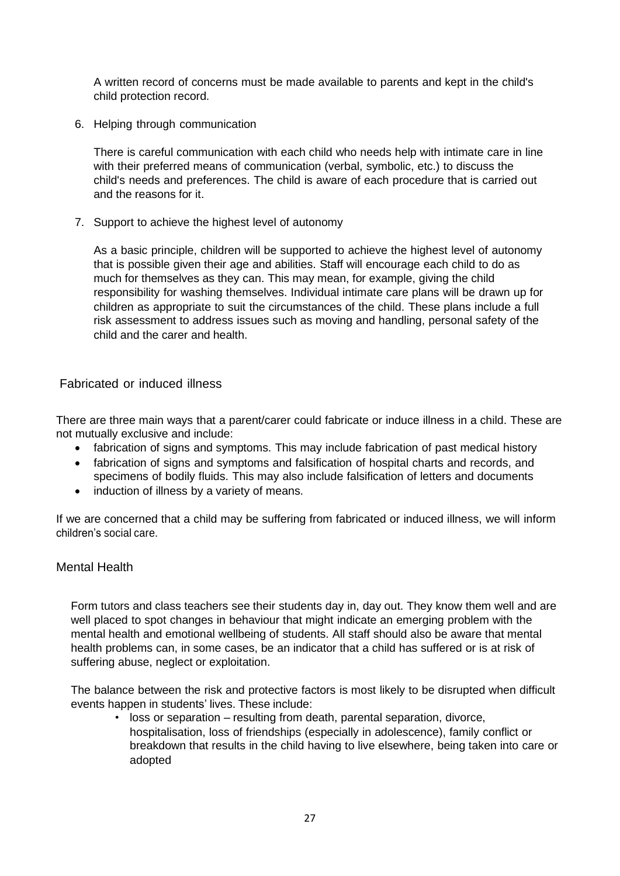A written record of concerns must be made available to parents and kept in the child's child protection record.

6. Helping through communication

There is careful communication with each child who needs help with intimate care in line with their preferred means of communication (verbal, symbolic, etc.) to discuss the child's needs and preferences. The child is aware of each procedure that is carried out and the reasons for it.

7. Support to achieve the highest level of autonomy

As a basic principle, children will be supported to achieve the highest level of autonomy that is possible given their age and abilities. Staff will encourage each child to do as much for themselves as they can. This may mean, for example, giving the child responsibility for washing themselves. Individual intimate care plans will be drawn up for children as appropriate to suit the circumstances of the child. These plans include a full risk assessment to address issues such as moving and handling, personal safety of the child and the carer and health.

#### <span id="page-26-0"></span>Fabricated or induced illness

There are three main ways that a parent/carer could fabricate or induce illness in a child. These are not mutually exclusive and include:

- fabrication of signs and symptoms. This may include fabrication of past medical history
- fabrication of signs and symptoms and falsification of hospital charts and records, and specimens of bodily fluids. This may also include falsification of letters and documents
- induction of illness by a variety of means.

If we are concerned that a child may be suffering from fabricated or induced illness, we will inform children's social care.

#### <span id="page-26-1"></span>Mental Health

Form tutors and class teachers see their students day in, day out. They know them well and are well placed to spot changes in behaviour that might indicate an emerging problem with the mental health and emotional wellbeing of students. All staff should also be aware that mental health problems can, in some cases, be an indicator that a child has suffered or is at risk of suffering abuse, neglect or exploitation.

The balance between the risk and protective factors is most likely to be disrupted when difficult events happen in students' lives. These include:

• loss or separation – resulting from death, parental separation, divorce, hospitalisation, loss of friendships (especially in adolescence), family conflict or breakdown that results in the child having to live elsewhere, being taken into care or adopted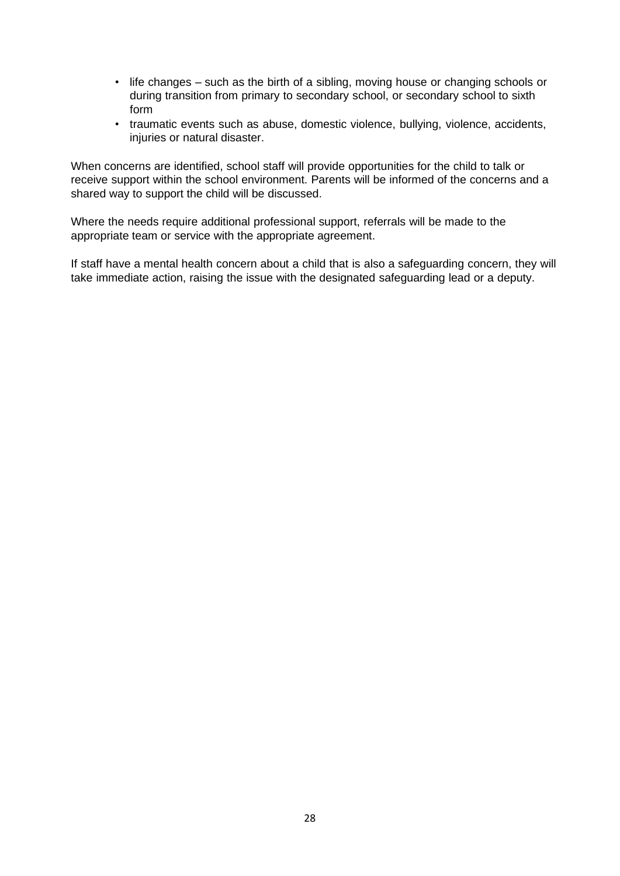- life changes such as the birth of a sibling, moving house or changing schools or during transition from primary to secondary school, or secondary school to sixth form
- traumatic events such as abuse, domestic violence, bullying, violence, accidents, injuries or natural disaster.

When concerns are identified, school staff will provide opportunities for the child to talk or receive support within the school environment. Parents will be informed of the concerns and a shared way to support the child will be discussed.

Where the needs require additional professional support, referrals will be made to the appropriate team or service with the appropriate agreement.

If staff have a mental health concern about a child that is also a safeguarding concern, they will take immediate action, raising the issue with the designated safeguarding lead or a deputy.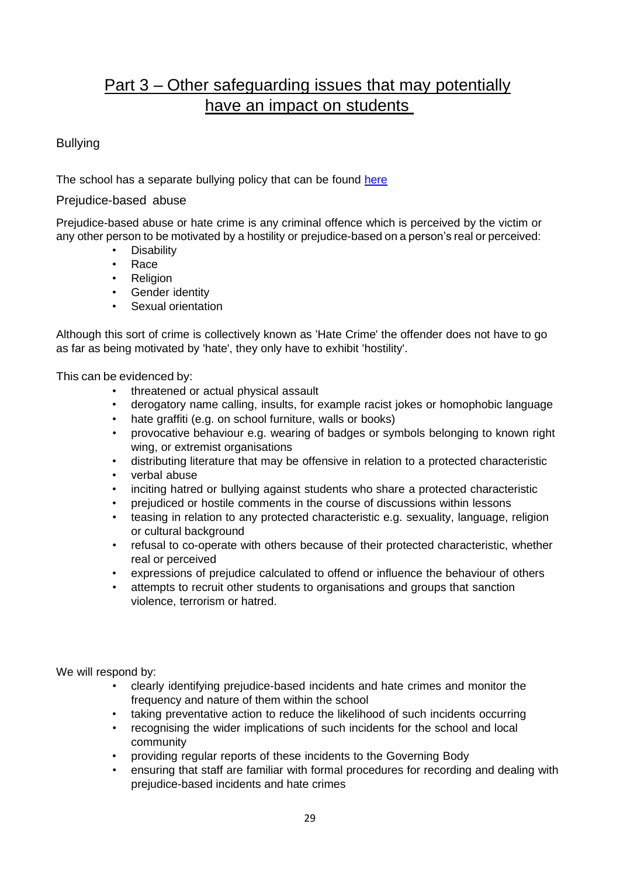# Part 3 – Other safeguarding issues that may potentially have an impact on students

#### <span id="page-28-1"></span><span id="page-28-0"></span>Bullying

The school has a separate bullying policy that can be found [here](https://www.iwef.org.uk/wp-content/uploads/2020/07/IWEF-Anti-Bullying-Procedure-Sept-2019.pdf)

#### <span id="page-28-2"></span>Prejudice-based abuse

Prejudice-based abuse or hate crime is any criminal offence which is perceived by the victim or any other person to be motivated by a hostility or prejudice-based on a person's real or perceived:

- **Disability**
- Race
- Religion
- Gender identity
- Sexual orientation

Although this sort of crime is collectively known as 'Hate Crime' the offender does not have to go as far as being motivated by 'hate', they only have to exhibit 'hostility'.

This can be evidenced by:

- threatened or actual physical assault
- derogatory name calling, insults, for example racist jokes or homophobic language
- hate graffiti (e.g. on school furniture, walls or books)
- provocative behaviour e.g. wearing of badges or symbols belonging to known right wing, or extremist organisations
- distributing literature that may be offensive in relation to a protected characteristic
- verbal abuse
- inciting hatred or bullying against students who share a protected characteristic
- prejudiced or hostile comments in the course of discussions within lessons
- teasing in relation to any protected characteristic e.g. sexuality, language, religion or cultural background
- refusal to co-operate with others because of their protected characteristic, whether real or perceived
- expressions of prejudice calculated to offend or influence the behaviour of others
- attempts to recruit other students to organisations and groups that sanction violence, terrorism or hatred.

We will respond by:

- clearly identifying prejudice-based incidents and hate crimes and monitor the frequency and nature of them within the school
- taking preventative action to reduce the likelihood of such incidents occurring
- recognising the wider implications of such incidents for the school and local community
- providing regular reports of these incidents to the Governing Body
- ensuring that staff are familiar with formal procedures for recording and dealing with prejudice-based incidents and hate crimes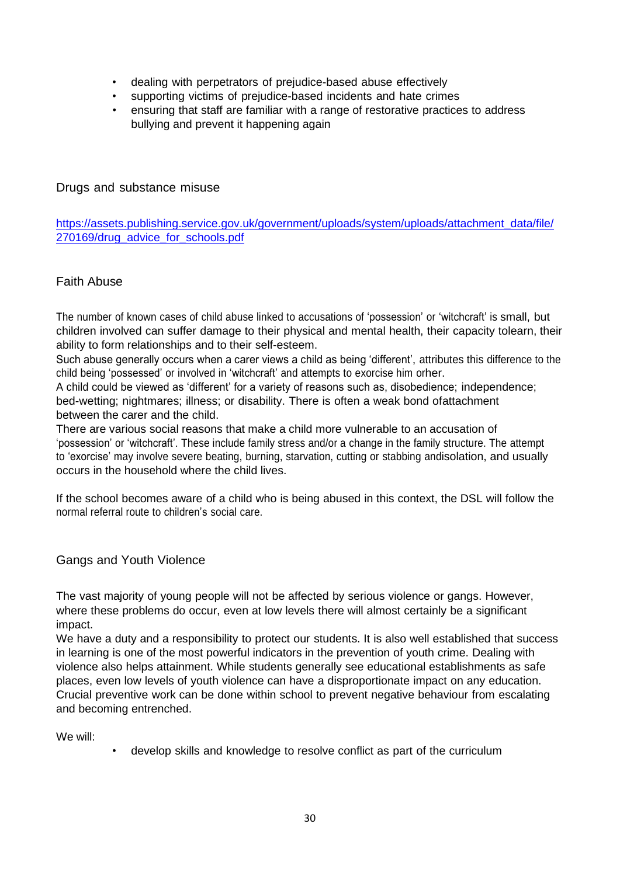- dealing with perpetrators of prejudice-based abuse effectively
- supporting victims of prejudice-based incidents and hate crimes
- ensuring that staff are familiar with a range of restorative practices to address bullying and prevent it happening again

#### <span id="page-29-0"></span>Drugs and substance misuse

[https://assets.publishing.service.gov.uk/government/uploads/system/uploads/attachment\\_data/file/](https://assets.publishing.service.gov.uk/government/uploads/system/uploads/attachment_data/file/270169/drug_advice_for_schools.pdf) [270169/drug\\_advice\\_for\\_schools.pdf](https://assets.publishing.service.gov.uk/government/uploads/system/uploads/attachment_data/file/270169/drug_advice_for_schools.pdf)

#### <span id="page-29-1"></span>Faith Abuse

The number of known cases of child abuse linked to accusations of 'possession' or 'witchcraft' is small, but children involved can suffer damage to their physical and mental health, their capacity tolearn, their ability to form relationships and to their self-esteem.

Such abuse generally occurs when a carer views a child as being 'different', attributes this difference to the child being 'possessed' or involved in 'witchcraft' and attempts to exorcise him orher.

A child could be viewed as 'different' for a variety of reasons such as, disobedience; independence; bed-wetting; nightmares; illness; or disability. There is often a weak bond ofattachment between the carer and the child.

There are various social reasons that make a child more vulnerable to an accusation of 'possession' or 'witchcraft'. These include family stress and/or a change in the family structure. The attempt to 'exorcise' may involve severe beating, burning, starvation, cutting or stabbing andisolation, and usually occurs in the household where the child lives.

If the school becomes aware of a child who is being abused in this context, the DSL will follow the normal referral route to children's social care.

<span id="page-29-2"></span>Gangs and Youth Violence

The vast majority of young people will not be affected by serious violence or gangs. However, where these problems do occur, even at low levels there will almost certainly be a significant impact.

We have a duty and a responsibility to protect our students. It is also well established that success in learning is one of the most powerful indicators in the prevention of youth crime. Dealing with violence also helps attainment. While students generally see educational establishments as safe places, even low levels of youth violence can have a disproportionate impact on any education. Crucial preventive work can be done within school to prevent negative behaviour from escalating and becoming entrenched.

We will:

• develop skills and knowledge to resolve conflict as part of the curriculum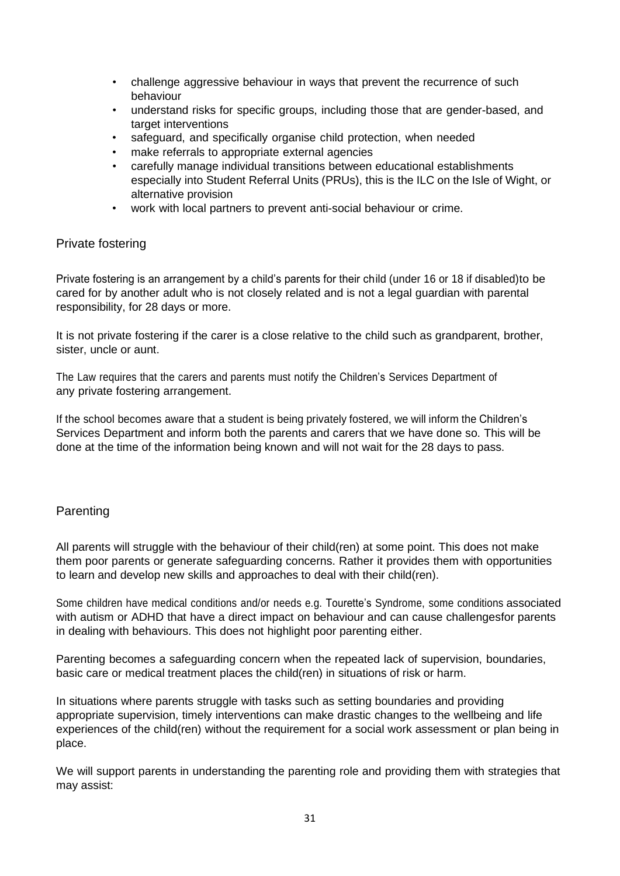- challenge aggressive behaviour in ways that prevent the recurrence of such behaviour
- understand risks for specific groups, including those that are gender-based, and target interventions
- safeguard, and specifically organise child protection, when needed
- make referrals to appropriate external agencies
- carefully manage individual transitions between educational establishments especially into Student Referral Units (PRUs), this is the ILC on the Isle of Wight, or alternative provision
- work with local partners to prevent anti-social behaviour or crime.

#### <span id="page-30-0"></span>Private fostering

Private fostering is an arrangement by a child's parents for their child (under 16 or 18 if disabled)to be cared for by another adult who is not closely related and is not a legal guardian with parental responsibility, for 28 days or more.

It is not private fostering if the carer is a close relative to the child such as grandparent, brother, sister, uncle or aunt.

The Law requires that the carers and parents must notify the Children's Services Department of any private fostering arrangement.

If the school becomes aware that a student is being privately fostered, we will inform the Children's Services Department and inform both the parents and carers that we have done so. This will be done at the time of the information being known and will not wait for the 28 days to pass.

#### <span id="page-30-1"></span>Parenting

All parents will struggle with the behaviour of their child(ren) at some point. This does not make them poor parents or generate safeguarding concerns. Rather it provides them with opportunities to learn and develop new skills and approaches to deal with their child(ren).

Some children have medical conditions and/or needs e.g. Tourette's Syndrome, some conditions associated with autism or ADHD that have a direct impact on behaviour and can cause challengesfor parents in dealing with behaviours. This does not highlight poor parenting either.

Parenting becomes a safeguarding concern when the repeated lack of supervision, boundaries, basic care or medical treatment places the child(ren) in situations of risk or harm.

In situations where parents struggle with tasks such as setting boundaries and providing appropriate supervision, timely interventions can make drastic changes to the wellbeing and life experiences of the child(ren) without the requirement for a social work assessment or plan being in place.

We will support parents in understanding the parenting role and providing them with strategies that may assist: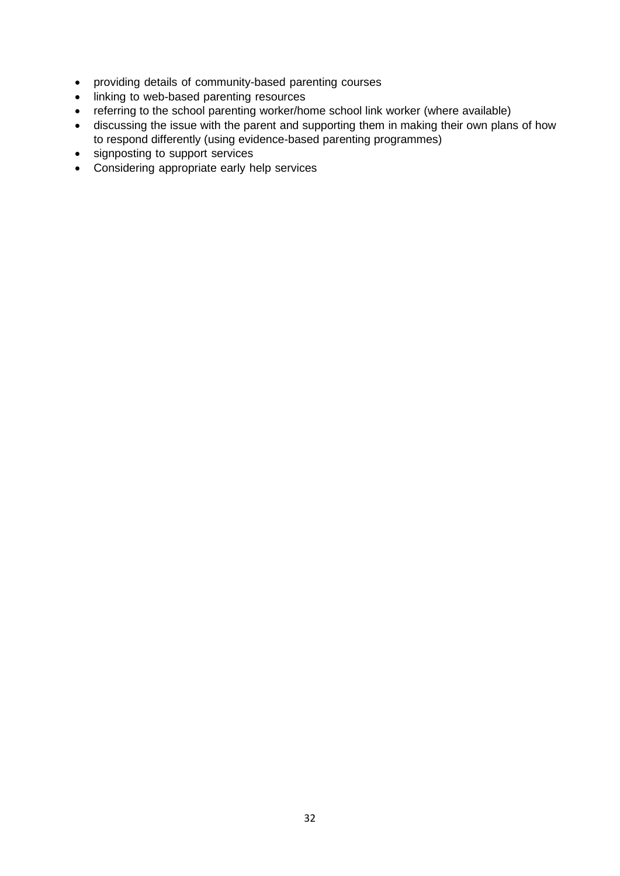- providing details of community-based parenting courses
- linking to web-based parenting resources
- referring to the school parenting worker/home school link worker (where available)
- discussing the issue with the parent and supporting them in making their own plans of how to respond differently (using evidence-based parenting programmes)
- signposting to support services
- Considering appropriate early help services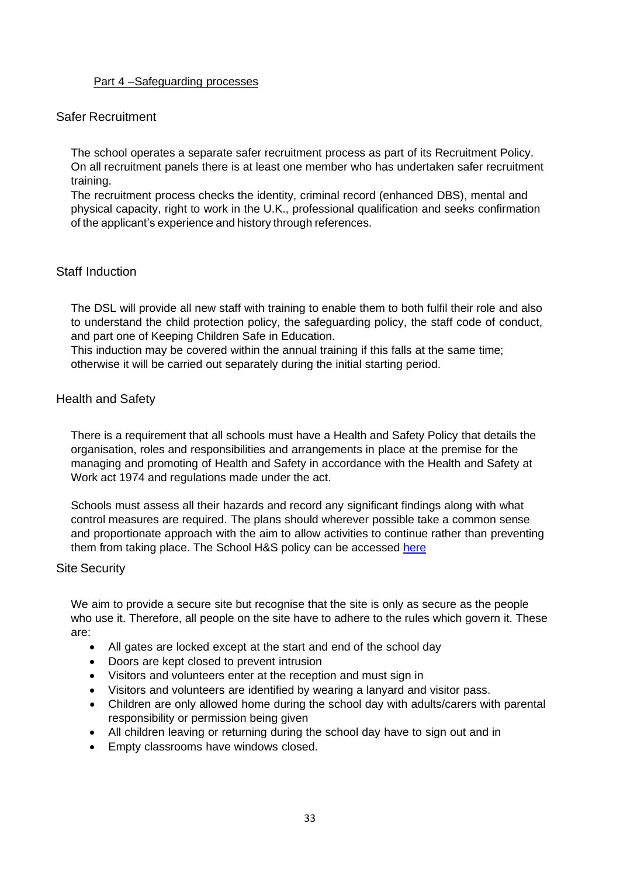#### Part 4 –Safeguarding processes

#### <span id="page-32-0"></span>Safer Recruitment

The school operates a separate safer recruitment process as part of its Recruitment Policy. On all recruitment panels there is at least one member who has undertaken safer recruitment training.

The recruitment process checks the identity, criminal record (enhanced DBS), mental and physical capacity, right to work in the U.K., professional qualification and seeks confirmation of the applicant's experience and history through references.

#### <span id="page-32-1"></span>Staff Induction

The DSL will provide all new staff with training to enable them to both fulfil their role and also to understand the child protection policy, the safeguarding policy, the staff code of conduct, and part one of Keeping Children Safe in Education.

This induction may be covered within the annual training if this falls at the same time; otherwise it will be carried out separately during the initial starting period.

#### <span id="page-32-2"></span>Health and Safety

There is a requirement that all schools must have a Health and Safety Policy that details the organisation, roles and responsibilities and arrangements in place at the premise for the managing and promoting of Health and Safety in accordance with the Health and Safety at Work act 1974 and regulations made under the act.

Schools must assess all their hazards and record any significant findings along with what control measures are required. The plans should wherever possible take a common sense and proportionate approach with the aim to allow activities to continue rather than preventing them from taking place. The School H&S policy can be accessed [here](https://www.iwef.org.uk/wp-content/uploads/2020/09/IWEF-Health-and-safety-policy-2020.pdf)

#### <span id="page-32-3"></span>Site Security

We aim to provide a secure site but recognise that the site is only as secure as the people who use it. Therefore, all people on the site have to adhere to the rules which govern it. These are:

- All gates are locked except at the start and end of the school day
- Doors are kept closed to prevent intrusion
- Visitors and volunteers enter at the reception and must sign in
- Visitors and volunteers are identified by wearing a lanyard and visitor pass.
- Children are only allowed home during the school day with adults/carers with parental responsibility or permission being given
- All children leaving or returning during the school day have to sign out and in
- Empty classrooms have windows closed.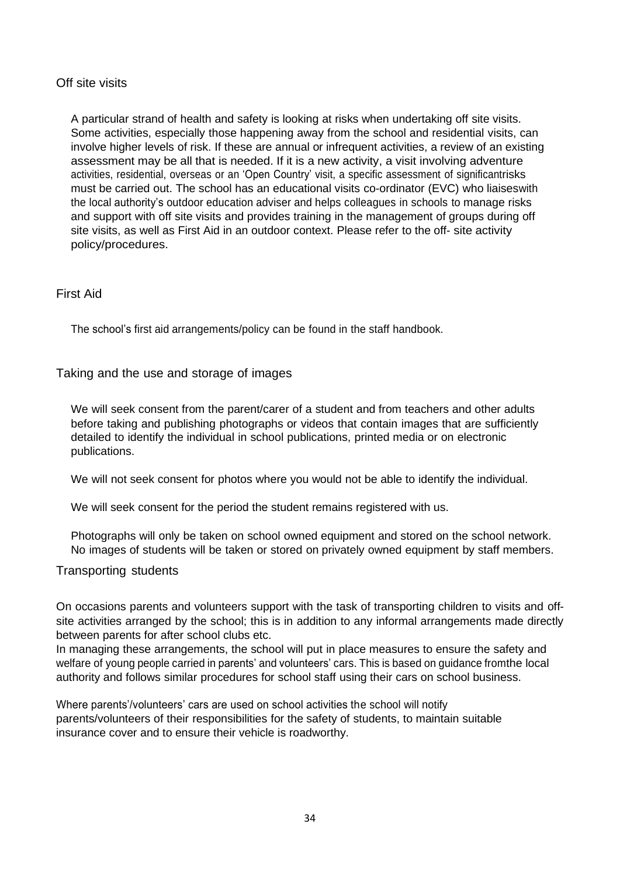#### <span id="page-33-0"></span>Off site visits

A particular strand of health and safety is looking at risks when undertaking off site visits. Some activities, especially those happening away from the school and residential visits, can involve higher levels of risk. If these are annual or infrequent activities, a review of an existing assessment may be all that is needed. If it is a new activity, a visit involving adventure activities, residential, overseas or an 'Open Country' visit, a specific assessment of significantrisks must be carried out. The school has an educational visits co-ordinator (EVC) who liaiseswith the local authority's outdoor education adviser and helps colleagues in schools to manage risks and support with off site visits and provides training in the management of groups during off site visits, as well as First Aid in an outdoor context. Please refer to the off- site activity policy/procedures.

#### <span id="page-33-1"></span>First Aid

The school's first aid arrangements/policy can be found in the staff handbook.

#### <span id="page-33-2"></span>Taking and the use and storage of images

We will seek consent from the parent/carer of a student and from teachers and other adults before taking and publishing photographs or videos that contain images that are sufficiently detailed to identify the individual in school publications, printed media or on electronic publications.

We will not seek consent for photos where you would not be able to identify the individual.

We will seek consent for the period the student remains registered with us.

Photographs will only be taken on school owned equipment and stored on the school network. No images of students will be taken or stored on privately owned equipment by staff members.

#### <span id="page-33-3"></span>Transporting students

On occasions parents and volunteers support with the task of transporting children to visits and offsite activities arranged by the school; this is in addition to any informal arrangements made directly between parents for after school clubs etc.

In managing these arrangements, the school will put in place measures to ensure the safety and welfare of young people carried in parents' and volunteers' cars. This is based on guidance fromthe local authority and follows similar procedures for school staff using their cars on school business.

Where parents'/volunteers' cars are used on school activities the school will notify parents/volunteers of their responsibilities for the safety of students, to maintain suitable insurance cover and to ensure their vehicle is roadworthy.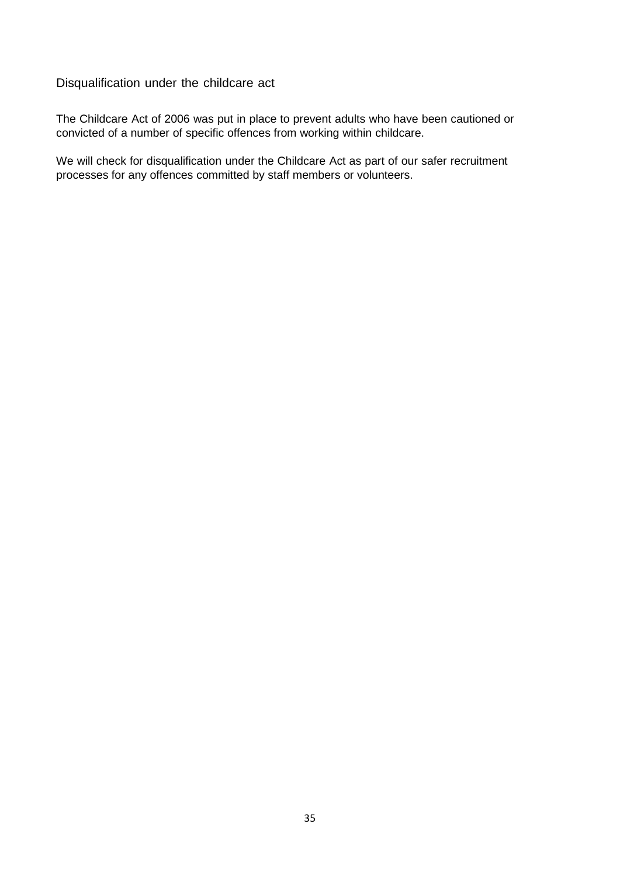### <span id="page-34-0"></span>Disqualification under the childcare act

The Childcare Act of 2006 was put in place to prevent adults who have been cautioned or convicted of a number of specific offences from working within childcare.

We will check for disqualification under the Childcare Act as part of our safer recruitment processes for any offences committed by staff members or volunteers.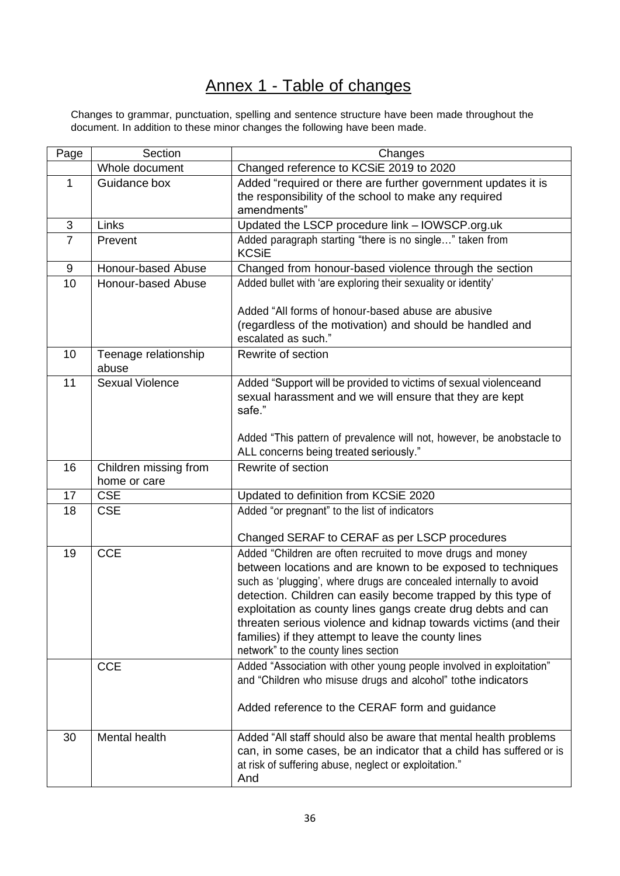# Annex 1 - Table of changes

<span id="page-35-0"></span>Changes to grammar, punctuation, spelling and sentence structure have been made throughout the document. In addition to these minor changes the following have been made.

| Page           | Section                               | Changes                                                                                                                                                                                                                                                                                                                                                                                                                                                                                            |
|----------------|---------------------------------------|----------------------------------------------------------------------------------------------------------------------------------------------------------------------------------------------------------------------------------------------------------------------------------------------------------------------------------------------------------------------------------------------------------------------------------------------------------------------------------------------------|
|                | Whole document                        | Changed reference to KCSiE 2019 to 2020                                                                                                                                                                                                                                                                                                                                                                                                                                                            |
| 1              | Guidance box                          | Added "required or there are further government updates it is<br>the responsibility of the school to make any required<br>amendments"                                                                                                                                                                                                                                                                                                                                                              |
| 3              | Links                                 | Updated the LSCP procedure link - IOWSCP.org.uk                                                                                                                                                                                                                                                                                                                                                                                                                                                    |
| $\overline{7}$ | Prevent                               | Added paragraph starting "there is no single" taken from<br><b>KCSiE</b>                                                                                                                                                                                                                                                                                                                                                                                                                           |
| 9              | Honour-based Abuse                    | Changed from honour-based violence through the section                                                                                                                                                                                                                                                                                                                                                                                                                                             |
| 10             | Honour-based Abuse                    | Added bullet with 'are exploring their sexuality or identity'<br>Added "All forms of honour-based abuse are abusive                                                                                                                                                                                                                                                                                                                                                                                |
|                |                                       | (regardless of the motivation) and should be handled and<br>escalated as such."                                                                                                                                                                                                                                                                                                                                                                                                                    |
| 10             | Teenage relationship<br>abuse         | Rewrite of section                                                                                                                                                                                                                                                                                                                                                                                                                                                                                 |
| 11             | <b>Sexual Violence</b>                | Added "Support will be provided to victims of sexual violenceand<br>sexual harassment and we will ensure that they are kept<br>safe."                                                                                                                                                                                                                                                                                                                                                              |
|                |                                       | Added "This pattern of prevalence will not, however, be anobstacle to<br>ALL concerns being treated seriously."                                                                                                                                                                                                                                                                                                                                                                                    |
| 16             | Children missing from<br>home or care | Rewrite of section                                                                                                                                                                                                                                                                                                                                                                                                                                                                                 |
| 17             | <b>CSE</b>                            | Updated to definition from KCSiE 2020                                                                                                                                                                                                                                                                                                                                                                                                                                                              |
| 18             | <b>CSE</b>                            | Added "or pregnant" to the list of indicators                                                                                                                                                                                                                                                                                                                                                                                                                                                      |
|                |                                       | Changed SERAF to CERAF as per LSCP procedures                                                                                                                                                                                                                                                                                                                                                                                                                                                      |
| 19             | <b>CCE</b>                            | Added "Children are often recruited to move drugs and money<br>between locations and are known to be exposed to techniques<br>such as 'plugging', where drugs are concealed internally to avoid<br>detection. Children can easily become trapped by this type of<br>exploitation as county lines gangs create drug debts and can<br>threaten serious violence and kidnap towards victims (and their<br>families) if they attempt to leave the county lines<br>network" to the county lines section |
|                | <b>CCE</b>                            | Added "Association with other young people involved in exploitation"<br>and "Children who misuse drugs and alcohol" tothe indicators<br>Added reference to the CERAF form and guidance                                                                                                                                                                                                                                                                                                             |
| 30             | Mental health                         | Added "All staff should also be aware that mental health problems<br>can, in some cases, be an indicator that a child has suffered or is<br>at risk of suffering abuse, neglect or exploitation."<br>And                                                                                                                                                                                                                                                                                           |